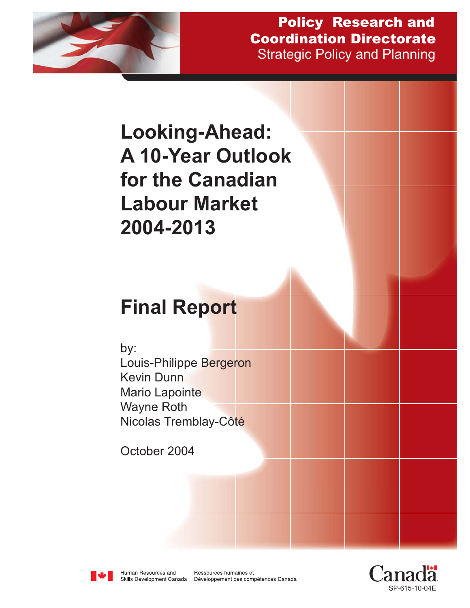

Strategic Policy and Planning Policy Research and Coordination Directorate

# **Looking-Ahead: A 10-Year Outlook for the Canadian Labour Market 2004-2013 Final Report** by: Louis-Philippe Bergeron Kevin Dunn Mario Lapointe Wayne Roth Nicolas Tremblay-Côté October 2004



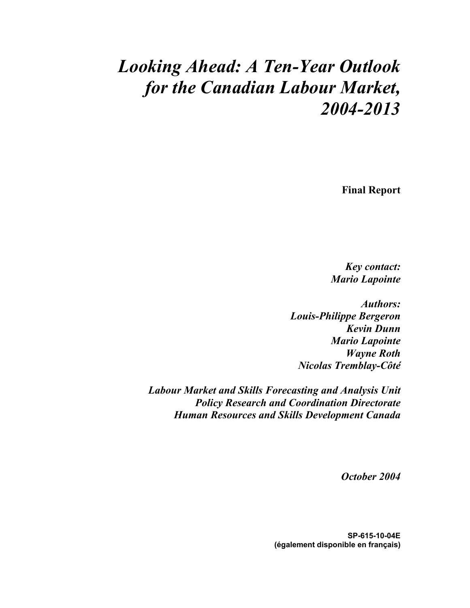### *Looking Ahead: A Ten-Year Outlook for the Canadian Labour Market, 2004-2013*

**Final Report** 

*Key contact: Mario Lapointe* 

*Authors: Louis-Philippe Bergeron Kevin Dunn Mario Lapointe Wayne Roth Nicolas Tremblay-Côté* 

*Labour Market and Skills Forecasting and Analysis Unit Policy Research and Coordination Directorate Human Resources and Skills Development Canada* 

*October 2004* 

**SP-615-10-04E (également disponible en français)**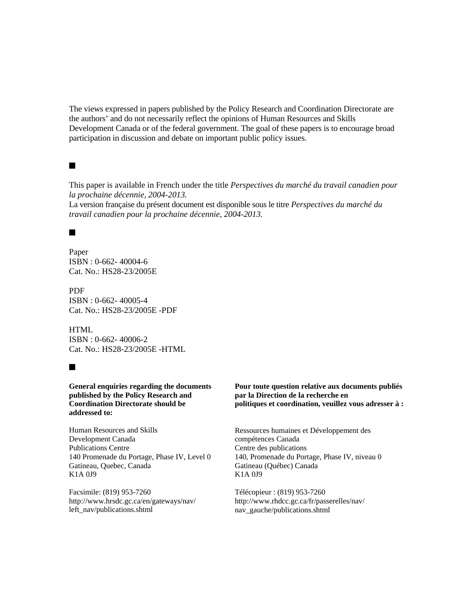The views expressed in papers published by the Policy Research and Coordination Directorate are the authors' and do not necessarily reflect the opinions of Human Resources and Skills Development Canada or of the federal government. The goal of these papers is to encourage broad participation in discussion and debate on important public policy issues.

#### $\blacksquare$

This paper is available in French under the title *Perspectives du marché du travail canadien pour la prochaine décennie, 2004-2013.* 

La version française du présent document est disponible sous le titre *Perspectives du marché du travail canadien pour la prochaine décennie, 2004-2013.*

#### $\blacksquare$

Paper ISBN : 0-662- 40004-6 Cat. No.: HS28-23/2005E

PDF ISBN : 0-662- 40005-4 Cat. No.: HS28-23/2005E -PDF

**HTML** ISBN : 0-662- 40006-2 Cat. No.: HS28-23/2005E -HTML

#### $\blacksquare$

**General enquiries regarding the documents published by the Policy Research and Coordination Directorate should be addressed to:** 

Human Resources and Skills Development Canada Publications Centre 140 Promenade du Portage, Phase IV, Level 0 Gatineau, Quebec, Canada K1A 0J9

Facsimile: (819) 953-7260 http://www.hrsdc.gc.ca/en/gateways/nav/ left\_nav/publications.shtml

**Pour toute question relative aux documents publiés par la Direction de la recherche en politiques et coordination, veuillez vous adresser à :** 

Ressources humaines et Développement des compétences Canada Centre des publications 140, Promenade du Portage, Phase IV, niveau 0 Gatineau (Québec) Canada K1A 0J9

Télécopieur : (819) 953-7260 http://www.rhdcc.gc.ca/fr/passerelles/nav/ nav\_gauche/publications.shtml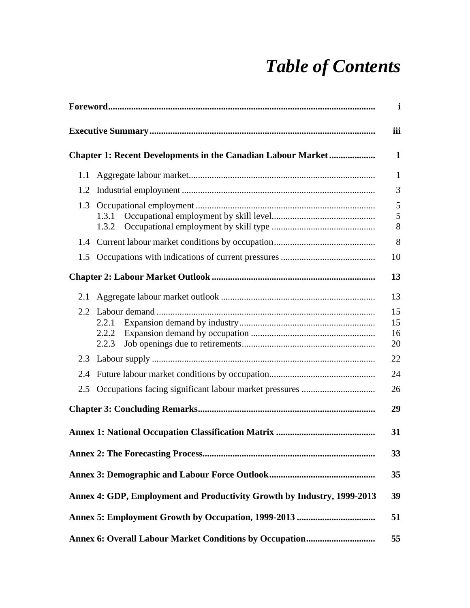# *Table of Contents*

|     |                                                                         | $\mathbf i$          |
|-----|-------------------------------------------------------------------------|----------------------|
|     |                                                                         | iii                  |
|     | <b>Chapter 1: Recent Developments in the Canadian Labour Market </b>    | $\mathbf{1}$         |
| 1.1 |                                                                         | $\mathbf{1}$         |
| 1.2 |                                                                         | 3                    |
| 1.3 | 1.3.1<br>1.3.2                                                          | 5<br>5<br>8          |
| 1.4 |                                                                         | 8                    |
| 1.5 |                                                                         | 10                   |
|     |                                                                         | 13                   |
| 2.1 |                                                                         | 13                   |
|     | 2.2.1<br>2.2.2<br>2.2.3                                                 | 15<br>15<br>16<br>20 |
|     |                                                                         | 22                   |
| 2.4 |                                                                         | 24                   |
| 2.5 |                                                                         | 26                   |
|     |                                                                         | 29                   |
|     |                                                                         | 31                   |
|     |                                                                         | 33                   |
|     |                                                                         | 35                   |
|     | Annex 4: GDP, Employment and Productivity Growth by Industry, 1999-2013 | 39                   |
|     |                                                                         | 51                   |
|     |                                                                         | 55                   |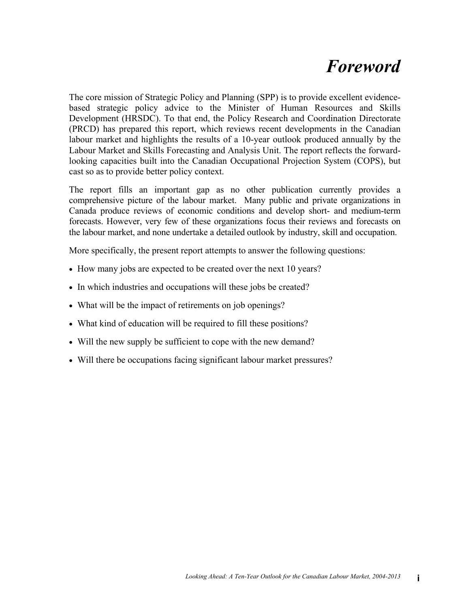## *Foreword*

The core mission of Strategic Policy and Planning (SPP) is to provide excellent evidencebased strategic policy advice to the Minister of Human Resources and Skills Development (HRSDC). To that end, the Policy Research and Coordination Directorate (PRCD) has prepared this report, which reviews recent developments in the Canadian labour market and highlights the results of a 10-year outlook produced annually by the Labour Market and Skills Forecasting and Analysis Unit. The report reflects the forwardlooking capacities built into the Canadian Occupational Projection System (COPS), but cast so as to provide better policy context.

The report fills an important gap as no other publication currently provides a comprehensive picture of the labour market. Many public and private organizations in Canada produce reviews of economic conditions and develop short- and medium-term forecasts. However, very few of these organizations focus their reviews and forecasts on the labour market, and none undertake a detailed outlook by industry, skill and occupation.

More specifically, the present report attempts to answer the following questions:

- How many jobs are expected to be created over the next 10 years?
- In which industries and occupations will these jobs be created?
- What will be the impact of retirements on job openings?
- What kind of education will be required to fill these positions?
- Will the new supply be sufficient to cope with the new demand?
- Will there be occupations facing significant labour market pressures?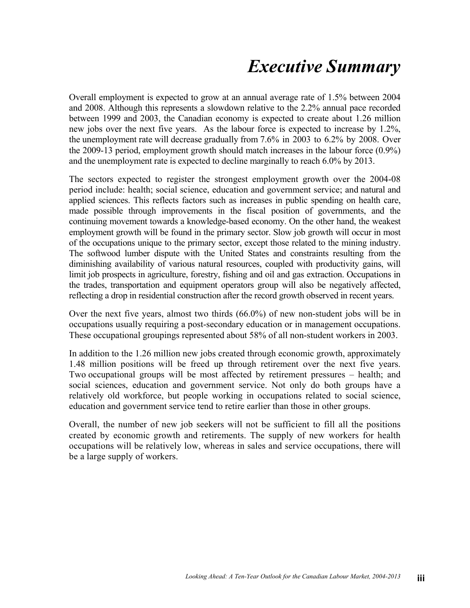## *Executive Summary*

Overall employment is expected to grow at an annual average rate of 1.5% between 2004 and 2008. Although this represents a slowdown relative to the 2.2% annual pace recorded between 1999 and 2003, the Canadian economy is expected to create about 1.26 million new jobs over the next five years. As the labour force is expected to increase by 1.2%, the unemployment rate will decrease gradually from 7.6% in 2003 to 6.2% by 2008. Over the 2009-13 period, employment growth should match increases in the labour force (0.9%) and the unemployment rate is expected to decline marginally to reach 6.0% by 2013.

The sectors expected to register the strongest employment growth over the 2004-08 period include: health; social science, education and government service; and natural and applied sciences. This reflects factors such as increases in public spending on health care, made possible through improvements in the fiscal position of governments, and the continuing movement towards a knowledge-based economy. On the other hand, the weakest employment growth will be found in the primary sector. Slow job growth will occur in most of the occupations unique to the primary sector, except those related to the mining industry. The softwood lumber dispute with the United States and constraints resulting from the diminishing availability of various natural resources, coupled with productivity gains, will limit job prospects in agriculture, forestry, fishing and oil and gas extraction. Occupations in the trades, transportation and equipment operators group will also be negatively affected, reflecting a drop in residential construction after the record growth observed in recent years.

Over the next five years, almost two thirds (66.0%) of new non-student jobs will be in occupations usually requiring a post-secondary education or in management occupations. These occupational groupings represented about 58% of all non-student workers in 2003.

In addition to the 1.26 million new jobs created through economic growth, approximately 1.48 million positions will be freed up through retirement over the next five years. Two occupational groups will be most affected by retirement pressures – health; and social sciences, education and government service. Not only do both groups have a relatively old workforce, but people working in occupations related to social science, education and government service tend to retire earlier than those in other groups.

Overall, the number of new job seekers will not be sufficient to fill all the positions created by economic growth and retirements. The supply of new workers for health occupations will be relatively low, whereas in sales and service occupations, there will be a large supply of workers.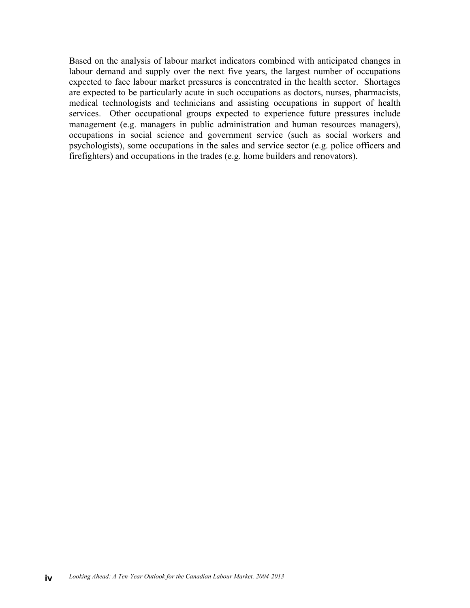Based on the analysis of labour market indicators combined with anticipated changes in labour demand and supply over the next five years, the largest number of occupations expected to face labour market pressures is concentrated in the health sector. Shortages are expected to be particularly acute in such occupations as doctors, nurses, pharmacists, medical technologists and technicians and assisting occupations in support of health services. Other occupational groups expected to experience future pressures include management (e.g. managers in public administration and human resources managers), occupations in social science and government service (such as social workers and psychologists), some occupations in the sales and service sector (e.g. police officers and firefighters) and occupations in the trades (e.g. home builders and renovators).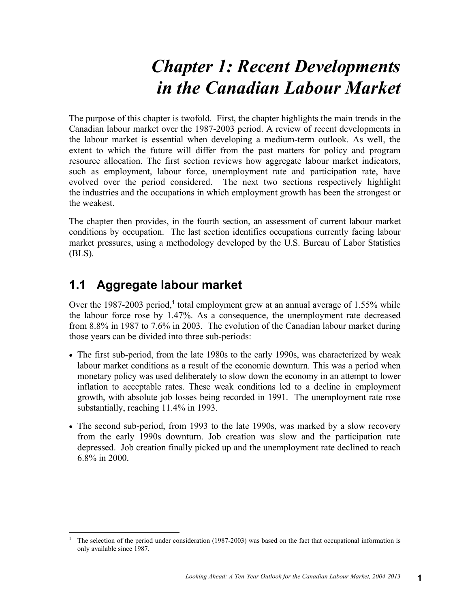# *Chapter 1: Recent Developments in the Canadian Labour Market*

The purpose of this chapter is twofold. First, the chapter highlights the main trends in the Canadian labour market over the 1987-2003 period. A review of recent developments in the labour market is essential when developing a medium-term outlook. As well, the extent to which the future will differ from the past matters for policy and program resource allocation. The first section reviews how aggregate labour market indicators, such as employment, labour force, unemployment rate and participation rate, have evolved over the period considered. The next two sections respectively highlight the industries and the occupations in which employment growth has been the strongest or the weakest.

The chapter then provides, in the fourth section, an assessment of current labour market conditions by occupation. The last section identifies occupations currently facing labour market pressures, using a methodology developed by the U.S. Bureau of Labor Statistics (BLS).

#### **1.1 Aggregate labour market**

Over the 1987-2003 period,<sup>1</sup> total employment grew at an annual average of 1.55% while the labour force rose by 1.47%. As a consequence, the unemployment rate decreased from 8.8% in 1987 to 7.6% in 2003. The evolution of the Canadian labour market during those years can be divided into three sub-periods:

- The first sub-period, from the late 1980s to the early 1990s, was characterized by weak labour market conditions as a result of the economic downturn. This was a period when monetary policy was used deliberately to slow down the economy in an attempt to lower inflation to acceptable rates. These weak conditions led to a decline in employment growth, with absolute job losses being recorded in 1991. The unemployment rate rose substantially, reaching 11.4% in 1993.
- The second sub-period, from 1993 to the late 1990s, was marked by a slow recovery from the early 1990s downturn. Job creation was slow and the participation rate depressed. Job creation finally picked up and the unemployment rate declined to reach 6.8% in 2000.

 $\overline{a}$ 1 The selection of the period under consideration (1987-2003) was based on the fact that occupational information is only available since 1987.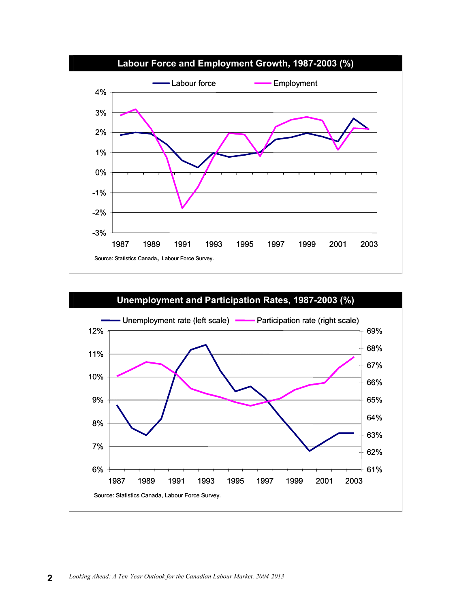

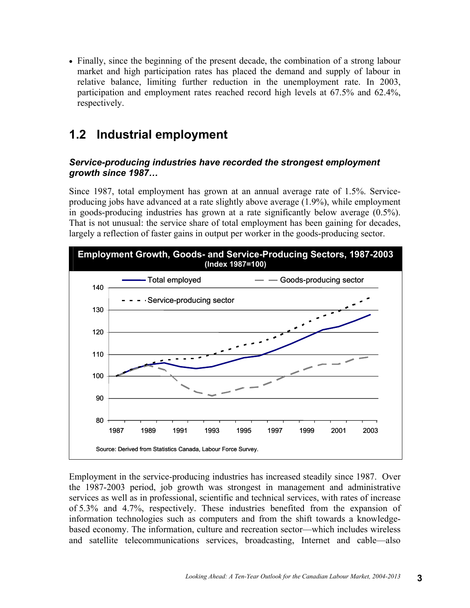• Finally, since the beginning of the present decade, the combination of a strong labour market and high participation rates has placed the demand and supply of labour in relative balance, limiting further reduction in the unemployment rate. In 2003, participation and employment rates reached record high levels at 67.5% and 62.4%, respectively.

#### **1.2 Industrial employment**

#### *Service-producing industries have recorded the strongest employment growth since 1987…*

Since 1987, total employment has grown at an annual average rate of 1.5%. Serviceproducing jobs have advanced at a rate slightly above average (1.9%), while employment in goods-producing industries has grown at a rate significantly below average (0.5%). That is not unusual: the service share of total employment has been gaining for decades, largely a reflection of faster gains in output per worker in the goods-producing sector.



Employment in the service-producing industries has increased steadily since 1987. Over the 1987-2003 period, job growth was strongest in management and administrative services as well as in professional, scientific and technical services, with rates of increase of 5.3% and 4.7%, respectively. These industries benefited from the expansion of information technologies such as computers and from the shift towards a knowledgebased economy. The information, culture and recreation sector—which includes wireless and satellite telecommunications services, broadcasting, Internet and cable—also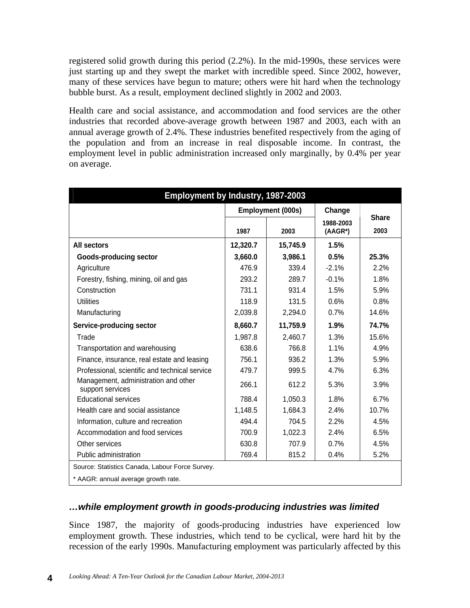registered solid growth during this period (2.2%). In the mid-1990s, these services were just starting up and they swept the market with incredible speed. Since 2002, however, many of these services have begun to mature; others were hit hard when the technology bubble burst. As a result, employment declined slightly in 2002 and 2003.

Health care and social assistance, and accommodation and food services are the other industries that recorded above-average growth between 1987 and 2003, each with an annual average growth of 2.4%. These industries benefited respectively from the aging of the population and from an increase in real disposable income. In contrast, the employment level in public administration increased only marginally, by 0.4% per year on average.

| Employment by Industry, 1987-2003                        |          |                          |                         |                      |
|----------------------------------------------------------|----------|--------------------------|-------------------------|----------------------|
|                                                          |          | <b>Employment (000s)</b> | Change                  |                      |
|                                                          | 1987     | 2003                     | 1988-2003<br>$(AAGR^*)$ | <b>Share</b><br>2003 |
| <b>All sectors</b>                                       | 12,320.7 | 15,745.9                 | 1.5%                    |                      |
| <b>Goods-producing sector</b>                            | 3,660.0  | 3,986.1                  | 0.5%                    | 25.3%                |
| Agriculture                                              | 476.9    | 339.4                    | $-2.1%$                 | 2.2%                 |
| Forestry, fishing, mining, oil and gas                   | 293.2    | 289.7                    | $-0.1%$                 | 1.8%                 |
| Construction                                             | 731.1    | 931.4                    | 1.5%                    | 5.9%                 |
| <b>Utilities</b>                                         | 118.9    | 131.5                    | 0.6%                    | 0.8%                 |
| Manufacturing                                            | 2,039.8  | 2,294.0                  | 0.7%                    | 14.6%                |
| Service-producing sector                                 | 8,660.7  | 11,759.9                 | 1.9%                    | 74.7%                |
| Trade                                                    | 1,987.8  | 2,460.7                  | 1.3%                    | 15.6%                |
| Transportation and warehousing                           | 638.6    | 766.8                    | 1.1%                    | 4.9%                 |
| Finance, insurance, real estate and leasing              | 756.1    | 936.2                    | 1.3%                    | 5.9%                 |
| Professional, scientific and technical service           | 479.7    | 999.5                    | 4.7%                    | 6.3%                 |
| Management, administration and other<br>support services | 266.1    | 612.2                    | 5.3%                    | 3.9%                 |
| <b>Educational services</b>                              | 788.4    | 1,050.3                  | 1.8%                    | 6.7%                 |
| Health care and social assistance                        | 1,148.5  | 1,684.3                  | 2.4%                    | 10.7%                |
| Information, culture and recreation                      | 494.4    | 704.5                    | 2.2%                    | 4.5%                 |
| Accommodation and food services                          | 700.9    | 1,022.3                  | 2.4%                    | 6.5%                 |
| Other services                                           | 630.8    | 707.9                    | 0.7%                    | 4.5%                 |
| Public administration                                    | 769.4    | 815.2                    | 0.4%                    | 5.2%                 |
| Source: Statistics Canada, Labour Force Survey.          |          |                          |                         |                      |
| * AAGR: annual average growth rate.                      |          |                          |                         |                      |

#### *…while employment growth in goods-producing industries was limited*

Since 1987, the majority of goods-producing industries have experienced low employment growth. These industries, which tend to be cyclical, were hard hit by the recession of the early 1990s. Manufacturing employment was particularly affected by this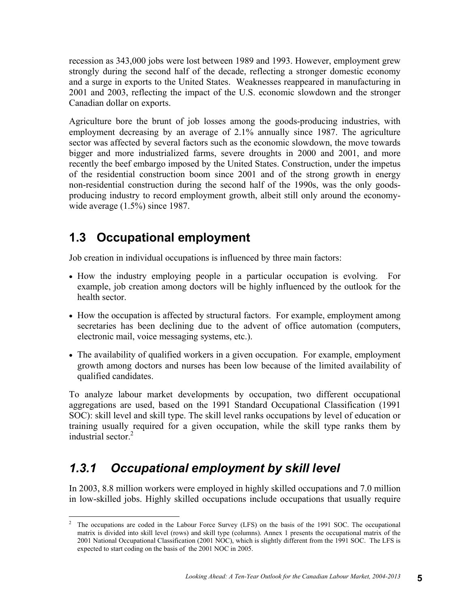recession as 343,000 jobs were lost between 1989 and 1993. However, employment grew strongly during the second half of the decade, reflecting a stronger domestic economy and a surge in exports to the United States. Weaknesses reappeared in manufacturing in 2001 and 2003, reflecting the impact of the U.S. economic slowdown and the stronger Canadian dollar on exports.

Agriculture bore the brunt of job losses among the goods-producing industries, with employment decreasing by an average of 2.1% annually since 1987. The agriculture sector was affected by several factors such as the economic slowdown, the move towards bigger and more industrialized farms, severe droughts in 2000 and 2001, and more recently the beef embargo imposed by the United States. Construction, under the impetus of the residential construction boom since 2001 and of the strong growth in energy non-residential construction during the second half of the 1990s, was the only goodsproducing industry to record employment growth, albeit still only around the economywide average  $(1.5\%)$  since 1987.

#### **1.3 Occupational employment**

Job creation in individual occupations is influenced by three main factors:

- How the industry employing people in a particular occupation is evolving. For example, job creation among doctors will be highly influenced by the outlook for the health sector.
- How the occupation is affected by structural factors. For example, employment among secretaries has been declining due to the advent of office automation (computers, electronic mail, voice messaging systems, etc.).
- The availability of qualified workers in a given occupation. For example, employment growth among doctors and nurses has been low because of the limited availability of qualified candidates.

To analyze labour market developments by occupation, two different occupational aggregations are used, based on the 1991 Standard Occupational Classification (1991 SOC): skill level and skill type. The skill level ranks occupations by level of education or training usually required for a given occupation, while the skill type ranks them by industrial sector  $2$ 

#### *1.3.1 Occupational employment by skill level*

In 2003, 8.8 million workers were employed in highly skilled occupations and 7.0 million in low-skilled jobs. Highly skilled occupations include occupations that usually require

 $\frac{1}{2}$  The occupations are coded in the Labour Force Survey (LFS) on the basis of the 1991 SOC. The occupational matrix is divided into skill level (rows) and skill type (columns). Annex 1 presents the occupational matrix of the 2001 National Occupational Classification (2001 NOC), which is slightly different from the 1991 SOC. The LFS is expected to start coding on the basis of the 2001 NOC in 2005.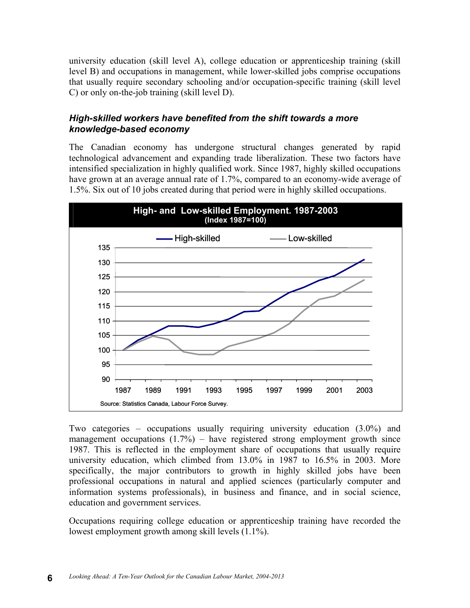university education (skill level A), college education or apprenticeship training (skill level B) and occupations in management, while lower-skilled jobs comprise occupations that usually require secondary schooling and/or occupation-specific training (skill level C) or only on-the-job training (skill level D).

#### *High-skilled workers have benefited from the shift towards a more knowledge-based economy*

The Canadian economy has undergone structural changes generated by rapid technological advancement and expanding trade liberalization. These two factors have intensified specialization in highly qualified work. Since 1987, highly skilled occupations have grown at an average annual rate of 1.7%, compared to an economy-wide average of 1.5%. Six out of 10 jobs created during that period were in highly skilled occupations.



Two categories – occupations usually requiring university education (3.0%) and management occupations  $(1.7%)$  – have registered strong employment growth since 1987. This is reflected in the employment share of occupations that usually require university education, which climbed from 13.0% in 1987 to 16.5% in 2003. More specifically, the major contributors to growth in highly skilled jobs have been professional occupations in natural and applied sciences (particularly computer and information systems professionals), in business and finance, and in social science, education and government services.

Occupations requiring college education or apprenticeship training have recorded the lowest employment growth among skill levels (1.1%).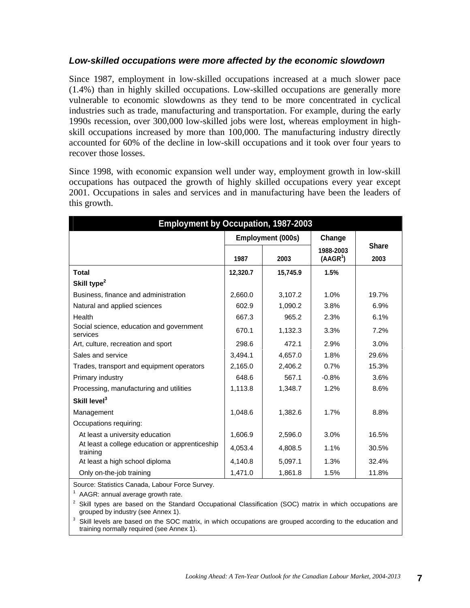#### *Low-skilled occupations were more affected by the economic slowdown*

Since 1987, employment in low-skilled occupations increased at a much slower pace (1.4%) than in highly skilled occupations. Low-skilled occupations are generally more vulnerable to economic slowdowns as they tend to be more concentrated in cyclical industries such as trade, manufacturing and transportation. For example, during the early 1990s recession, over 300,000 low-skilled jobs were lost, whereas employment in highskill occupations increased by more than 100,000. The manufacturing industry directly accounted for 60% of the decline in low-skill occupations and it took over four years to recover those losses.

Since 1998, with economic expansion well under way, employment growth in low-skill occupations has outpaced the growth of highly skilled occupations every year except 2001. Occupations in sales and services and in manufacturing have been the leaders of this growth.

| <b>Employment by Occupation, 1987-2003</b>                 |          |                          |                                   |                      |
|------------------------------------------------------------|----------|--------------------------|-----------------------------------|----------------------|
|                                                            |          | <b>Employment (000s)</b> | Change                            |                      |
|                                                            | 1987     | 2003                     | 1988-2003<br>(AAGR <sup>1</sup> ) | <b>Share</b><br>2003 |
| <b>Total</b>                                               | 12,320.7 | 15,745.9                 | 1.5%                              |                      |
| Skill type <sup>2</sup>                                    |          |                          |                                   |                      |
| Business, finance and administration                       | 2,660.0  | 3,107.2                  | 1.0%                              | 19.7%                |
| Natural and applied sciences                               | 602.9    | 1,090.2                  | 3.8%                              | 6.9%                 |
| Health                                                     | 667.3    | 965.2                    | 2.3%                              | 6.1%                 |
| Social science, education and government<br>services       | 670.1    | 1,132.3                  | 3.3%                              | 7.2%                 |
| Art, culture, recreation and sport                         | 298.6    | 472.1                    | 2.9%                              | 3.0%                 |
| Sales and service                                          | 3,494.1  | 4,657.0                  | 1.8%                              | 29.6%                |
| Trades, transport and equipment operators                  | 2,165.0  | 2,406.2                  | 0.7%                              | 15.3%                |
| Primary industry                                           | 648.6    | 567.1                    | $-0.8%$                           | 3.6%                 |
| Processing, manufacturing and utilities                    | 1,113.8  | 1,348.7                  | 1.2%                              | 8.6%                 |
| Skill level <sup>3</sup>                                   |          |                          |                                   |                      |
| Management                                                 | 1,048.6  | 1,382.6                  | 1.7%                              | 8.8%                 |
| Occupations requiring:                                     |          |                          |                                   |                      |
| At least a university education                            | 1,606.9  | 2,596.0                  | 3.0%                              | 16.5%                |
| At least a college education or apprenticeship<br>training | 4,053.4  | 4,808.5                  | 1.1%                              | 30.5%                |
| At least a high school diploma                             | 4,140.8  | 5,097.1                  | 1.3%                              | 32.4%                |
| Only on-the-job training                                   | 1,471.0  | 1,861.8                  | 1.5%                              | 11.8%                |

Source: Statistics Canada, Labour Force Survey.

 $1$  AAGR: annual average growth rate.

 $2$  Skill types are based on the Standard Occupational Classification (SOC) matrix in which occupations are grouped by industry (see Annex 1).

3 Skill levels are based on the SOC matrix, in which occupations are grouped according to the education and training normally required (see Annex 1).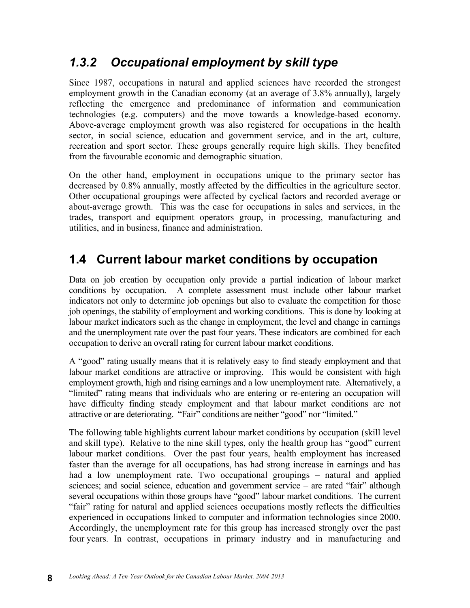#### *1.3.2 Occupational employment by skill type*

Since 1987, occupations in natural and applied sciences have recorded the strongest employment growth in the Canadian economy (at an average of 3.8% annually), largely reflecting the emergence and predominance of information and communication technologies (e.g. computers) and the move towards a knowledge-based economy. Above-average employment growth was also registered for occupations in the health sector, in social science, education and government service, and in the art, culture, recreation and sport sector. These groups generally require high skills. They benefited from the favourable economic and demographic situation.

On the other hand, employment in occupations unique to the primary sector has decreased by 0.8% annually, mostly affected by the difficulties in the agriculture sector. Other occupational groupings were affected by cyclical factors and recorded average or about-average growth. This was the case for occupations in sales and services, in the trades, transport and equipment operators group, in processing, manufacturing and utilities, and in business, finance and administration.

#### **1.4 Current labour market conditions by occupation**

Data on job creation by occupation only provide a partial indication of labour market conditions by occupation. A complete assessment must include other labour market indicators not only to determine job openings but also to evaluate the competition for those job openings, the stability of employment and working conditions. This is done by looking at labour market indicators such as the change in employment, the level and change in earnings and the unemployment rate over the past four years. These indicators are combined for each occupation to derive an overall rating for current labour market conditions.

A "good" rating usually means that it is relatively easy to find steady employment and that labour market conditions are attractive or improving. This would be consistent with high employment growth, high and rising earnings and a low unemployment rate. Alternatively, a "limited" rating means that individuals who are entering or re-entering an occupation will have difficulty finding steady employment and that labour market conditions are not attractive or are deteriorating. "Fair" conditions are neither "good" nor "limited."

The following table highlights current labour market conditions by occupation (skill level and skill type). Relative to the nine skill types, only the health group has "good" current labour market conditions. Over the past four years, health employment has increased faster than the average for all occupations, has had strong increase in earnings and has had a low unemployment rate. Two occupational groupings – natural and applied sciences; and social science, education and government service – are rated "fair" although several occupations within those groups have "good" labour market conditions. The current "fair" rating for natural and applied sciences occupations mostly reflects the difficulties experienced in occupations linked to computer and information technologies since 2000. Accordingly, the unemployment rate for this group has increased strongly over the past four years. In contrast, occupations in primary industry and in manufacturing and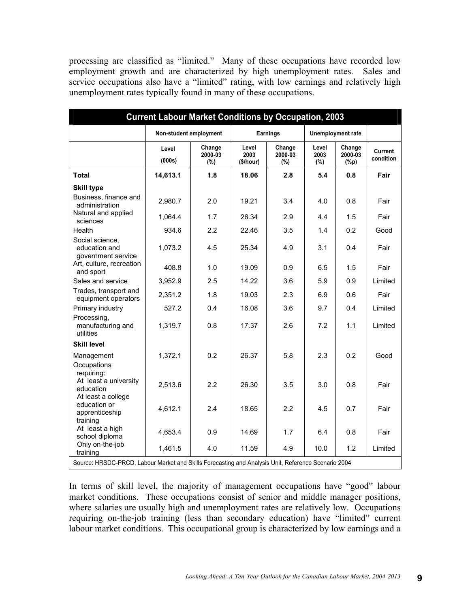processing are classified as "limited." Many of these occupations have recorded low employment growth and are characterized by high unemployment rates. Sales and service occupations also have a "limited" rating, with low earnings and relatively high unemployment rates typically found in many of these occupations.

|                                                                                                     | <b>Current Labour Market Conditions by Occupation, 2003</b> |                          |                            |                          |                         |                              |                      |
|-----------------------------------------------------------------------------------------------------|-------------------------------------------------------------|--------------------------|----------------------------|--------------------------|-------------------------|------------------------------|----------------------|
|                                                                                                     | Non-student employment                                      |                          |                            | Earnings                 |                         | Unemployment rate            |                      |
|                                                                                                     | Level<br>(000s)                                             | Change<br>2000-03<br>(%) | Level<br>2003<br>(\$/hour) | Change<br>2000-03<br>(%) | Level<br>2003<br>$(\%)$ | Change<br>2000-03<br>$(\%p)$ | Current<br>condition |
| <b>Total</b>                                                                                        | 14,613.1                                                    | 1.8                      | 18.06                      | 2.8                      | 5.4                     | 0.8                          | Fair                 |
| <b>Skill type</b>                                                                                   |                                                             |                          |                            |                          |                         |                              |                      |
| Business, finance and<br>administration                                                             | 2,980.7                                                     | 2.0                      | 19.21                      | 3.4                      | 4.0                     | 0.8                          | Fair                 |
| Natural and applied<br>sciences                                                                     | 1.064.4                                                     | 1.7                      | 26.34                      | 2.9                      | 4.4                     | 1.5                          | Fair                 |
| Health                                                                                              | 934.6                                                       | 2.2                      | 22.46                      | 3.5                      | 1.4                     | 0.2                          | Good                 |
| Social science,<br>education and<br>government service                                              | 1,073.2                                                     | 4.5                      | 25.34                      | 4.9                      | 3.1                     | 0.4                          | Fair                 |
| Art, culture, recreation<br>and sport                                                               | 408.8                                                       | 1.0                      | 19.09                      | 0.9                      | 6.5                     | 1.5                          | Fair                 |
| Sales and service                                                                                   | 3,952.9                                                     | 2.5                      | 14.22                      | 3.6                      | 5.9                     | 0.9                          | Limited              |
| Trades, transport and<br>equipment operators                                                        | 2,351.2                                                     | 1.8                      | 19.03                      | 2.3                      | 6.9                     | 0.6                          | Fair                 |
| Primary industry                                                                                    | 527.2                                                       | 0.4                      | 16.08                      | 3.6                      | 9.7                     | 0.4                          | Limited              |
| Processing,<br>manufacturing and<br>utilities                                                       | 1,319.7                                                     | 0.8                      | 17.37                      | 2.6                      | 7.2                     | 1.1                          | Limited              |
| <b>Skill level</b>                                                                                  |                                                             |                          |                            |                          |                         |                              |                      |
| Management<br>Occupations                                                                           | 1,372.1                                                     | 0.2                      | 26.37                      | 5.8                      | 2.3                     | 0.2                          | Good                 |
| requiring:<br>At least a university<br>education<br>At least a college                              | 2,513.6                                                     | 2.2                      | 26.30                      | 3.5                      | 3.0                     | 0.8                          | Fair                 |
| education or<br>apprenticeship<br>training                                                          | 4,612.1                                                     | 2.4                      | 18.65                      | 2.2                      | 4.5                     | 0.7                          | Fair                 |
| At least a high<br>school diploma                                                                   | 4,653.4                                                     | 0.9                      | 14.69                      | 1.7                      | 6.4                     | 0.8                          | Fair                 |
| Only on-the-job<br>training                                                                         | 1,461.5                                                     | 4.0                      | 11.59                      | 4.9                      | 10.0                    | 1.2                          | Limited              |
| Source: HRSDC-PRCD, Labour Market and Skills Forecasting and Analysis Unit, Reference Scenario 2004 |                                                             |                          |                            |                          |                         |                              |                      |

In terms of skill level, the majority of management occupations have "good" labour market conditions. These occupations consist of senior and middle manager positions, where salaries are usually high and unemployment rates are relatively low. Occupations requiring on-the-job training (less than secondary education) have "limited" current labour market conditions. This occupational group is characterized by low earnings and a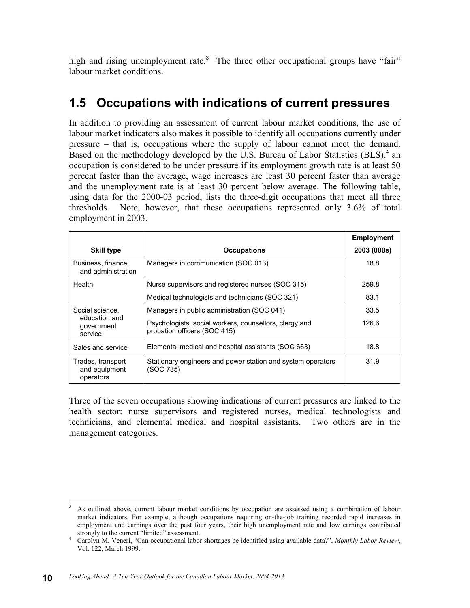high and rising unemployment rate.<sup>3</sup> The three other occupational groups have "fair" labour market conditions.

#### **1.5 Occupations with indications of current pressures**

In addition to providing an assessment of current labour market conditions, the use of labour market indicators also makes it possible to identify all occupations currently under pressure – that is, occupations where the supply of labour cannot meet the demand. Based on the methodology developed by the U.S. Bureau of Labor Statistics (BLS),<sup>4</sup> an occupation is considered to be under pressure if its employment growth rate is at least 50 percent faster than the average, wage increases are least 30 percent faster than average and the unemployment rate is at least 30 percent below average. The following table, using data for the 2000-03 period, lists the three-digit occupations that meet all three thresholds. Note, however, that these occupations represented only 3.6% of total employment in 2003.

|                                                 |                                                                                        | <b>Employment</b> |
|-------------------------------------------------|----------------------------------------------------------------------------------------|-------------------|
| <b>Skill type</b>                               | <b>Occupations</b>                                                                     | 2003 (000s)       |
| Business, finance<br>and administration         | Managers in communication (SOC 013)                                                    | 18.8              |
| Health                                          | Nurse supervisors and registered nurses (SOC 315)                                      | 259.8             |
|                                                 | Medical technologists and technicians (SOC 321)                                        | 83.1              |
| Social science,                                 | Managers in public administration (SOC 041)                                            | 33.5              |
| education and<br>government<br>service          | Psychologists, social workers, counsellors, clergy and<br>probation officers (SOC 415) | 126.6             |
| Sales and service                               | Elemental medical and hospital assistants (SOC 663)                                    | 18.8              |
| Trades, transport<br>and equipment<br>operators | Stationary engineers and power station and system operators<br>(SOC 735)               | 31.9              |

Three of the seven occupations showing indications of current pressures are linked to the health sector: nurse supervisors and registered nurses, medical technologists and technicians, and elemental medical and hospital assistants. Two others are in the management categories.

 $\frac{1}{3}$  As outlined above, current labour market conditions by occupation are assessed using a combination of labour market indicators. For example, although occupations requiring on-the-job training recorded rapid increases in employment and earnings over the past four years, their high unemployment rate and low earnings contributed strongly to the current "limited" assessment.

Carolyn M. Veneri, "Can occupational labor shortages be identified using available data?", *Monthly Labor Review*, Vol. 122, March 1999.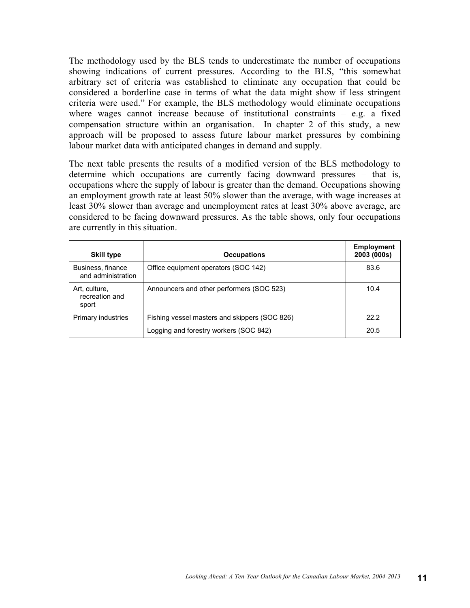The methodology used by the BLS tends to underestimate the number of occupations showing indications of current pressures. According to the BLS, "this somewhat arbitrary set of criteria was established to eliminate any occupation that could be considered a borderline case in terms of what the data might show if less stringent criteria were used." For example, the BLS methodology would eliminate occupations where wages cannot increase because of institutional constraints  $-$  e.g. a fixed compensation structure within an organisation. In chapter 2 of this study, a new approach will be proposed to assess future labour market pressures by combining labour market data with anticipated changes in demand and supply.

The next table presents the results of a modified version of the BLS methodology to determine which occupations are currently facing downward pressures – that is, occupations where the supply of labour is greater than the demand. Occupations showing an employment growth rate at least 50% slower than the average, with wage increases at least 30% slower than average and unemployment rates at least 30% above average, are considered to be facing downward pressures. As the table shows, only four occupations are currently in this situation.

| <b>Skill type</b>                        | <b>Occupations</b>                            | <b>Employment</b><br>2003 (000s) |
|------------------------------------------|-----------------------------------------------|----------------------------------|
| Business, finance<br>and administration  | Office equipment operators (SOC 142)          | 83.6                             |
| Art, culture,<br>recreation and<br>sport | Announcers and other performers (SOC 523)     | 10.4                             |
| Primary industries                       | Fishing vessel masters and skippers (SOC 826) | 222                              |
|                                          | Logging and forestry workers (SOC 842)        | 20.5                             |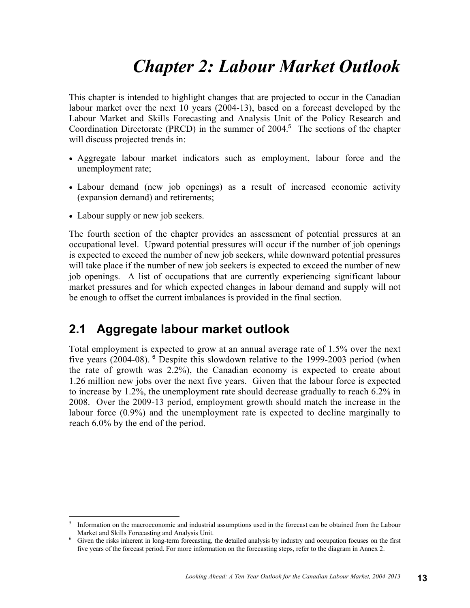## *Chapter 2: Labour Market Outlook*

This chapter is intended to highlight changes that are projected to occur in the Canadian labour market over the next 10 years (2004-13), based on a forecast developed by the Labour Market and Skills Forecasting and Analysis Unit of the Policy Research and Coordination Directorate (PRCD) in the summer of  $2004$ <sup>5</sup>. The sections of the chapter will discuss projected trends in:

- Aggregate labour market indicators such as employment, labour force and the unemployment rate;
- Labour demand (new job openings) as a result of increased economic activity (expansion demand) and retirements;
- Labour supply or new job seekers.

 $\overline{a}$ 

The fourth section of the chapter provides an assessment of potential pressures at an occupational level. Upward potential pressures will occur if the number of job openings is expected to exceed the number of new job seekers, while downward potential pressures will take place if the number of new job seekers is expected to exceed the number of new job openings. A list of occupations that are currently experiencing significant labour market pressures and for which expected changes in labour demand and supply will not be enough to offset the current imbalances is provided in the final section.

#### **2.1 Aggregate labour market outlook**

Total employment is expected to grow at an annual average rate of 1.5% over the next five years (2004-08).  $6$  Despite this slowdown relative to the 1999-2003 period (when the rate of growth was 2.2%), the Canadian economy is expected to create about 1.26 million new jobs over the next five years. Given that the labour force is expected to increase by 1.2%, the unemployment rate should decrease gradually to reach 6.2% in 2008. Over the 2009-13 period, employment growth should match the increase in the labour force (0.9%) and the unemployment rate is expected to decline marginally to reach 6.0% by the end of the period.

<sup>5</sup> Information on the macroeconomic and industrial assumptions used in the forecast can be obtained from the Labour Market and Skills Forecasting and Analysis Unit. 6

Given the risks inherent in long-term forecasting, the detailed analysis by industry and occupation focuses on the first five years of the forecast period. For more information on the forecasting steps, refer to the diagram in Annex 2.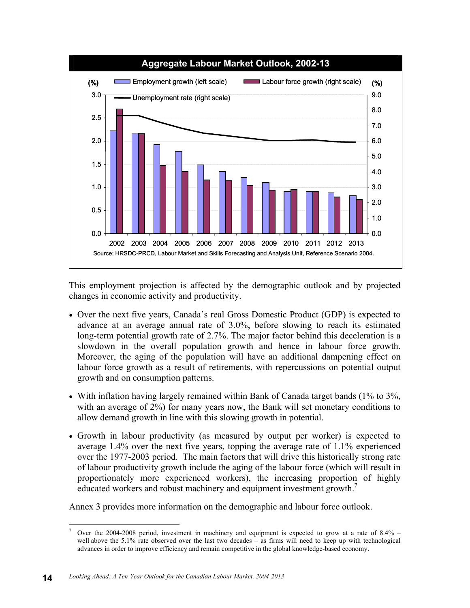

This employment projection is affected by the demographic outlook and by projected changes in economic activity and productivity.

- Over the next five years, Canada's real Gross Domestic Product (GDP) is expected to advance at an average annual rate of 3.0%, before slowing to reach its estimated long-term potential growth rate of 2.7%. The major factor behind this deceleration is a slowdown in the overall population growth and hence in labour force growth. Moreover, the aging of the population will have an additional dampening effect on labour force growth as a result of retirements, with repercussions on potential output growth and on consumption patterns.
- With inflation having largely remained within Bank of Canada target bands (1% to 3%, with an average of 2%) for many years now, the Bank will set monetary conditions to allow demand growth in line with this slowing growth in potential.
- Growth in labour productivity (as measured by output per worker) is expected to average 1.4% over the next five years, topping the average rate of 1.1% experienced over the 1977-2003 period. The main factors that will drive this historically strong rate of labour productivity growth include the aging of the labour force (which will result in proportionately more experienced workers), the increasing proportion of highly educated workers and robust machinery and equipment investment growth.<sup>7</sup>

Annex 3 provides more information on the demographic and labour force outlook.

 $\overline{a}$ 7 Over the 2004-2008 period, investment in machinery and equipment is expected to grow at a rate of 8.4% – well above the 5.1% rate observed over the last two decades – as firms will need to keep up with technological advances in order to improve efficiency and remain competitive in the global knowledge-based economy.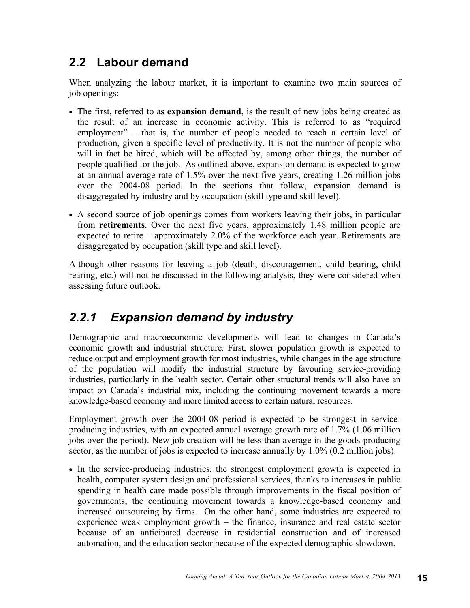#### **2.2 Labour demand**

When analyzing the labour market, it is important to examine two main sources of job openings:

- The first, referred to as **expansion demand**, is the result of new jobs being created as the result of an increase in economic activity. This is referred to as "required employment" – that is, the number of people needed to reach a certain level of production, given a specific level of productivity. It is not the number of people who will in fact be hired, which will be affected by, among other things, the number of people qualified for the job. As outlined above, expansion demand is expected to grow at an annual average rate of 1.5% over the next five years, creating 1.26 million jobs over the 2004-08 period. In the sections that follow, expansion demand is disaggregated by industry and by occupation (skill type and skill level).
- A second source of job openings comes from workers leaving their jobs, in particular from **retirements**. Over the next five years, approximately 1.48 million people are expected to retire – approximately 2.0% of the workforce each year. Retirements are disaggregated by occupation (skill type and skill level).

Although other reasons for leaving a job (death, discouragement, child bearing, child rearing, etc.) will not be discussed in the following analysis, they were considered when assessing future outlook.

#### *2.2.1 Expansion demand by industry*

Demographic and macroeconomic developments will lead to changes in Canada's economic growth and industrial structure. First, slower population growth is expected to reduce output and employment growth for most industries, while changes in the age structure of the population will modify the industrial structure by favouring service-providing industries, particularly in the health sector. Certain other structural trends will also have an impact on Canada's industrial mix, including the continuing movement towards a more knowledge-based economy and more limited access to certain natural resources.

Employment growth over the 2004-08 period is expected to be strongest in serviceproducing industries, with an expected annual average growth rate of 1.7% (1.06 million jobs over the period). New job creation will be less than average in the goods-producing sector, as the number of jobs is expected to increase annually by 1.0% (0.2 million jobs).

• In the service-producing industries, the strongest employment growth is expected in health, computer system design and professional services, thanks to increases in public spending in health care made possible through improvements in the fiscal position of governments, the continuing movement towards a knowledge-based economy and increased outsourcing by firms. On the other hand, some industries are expected to experience weak employment growth – the finance, insurance and real estate sector because of an anticipated decrease in residential construction and of increased automation, and the education sector because of the expected demographic slowdown.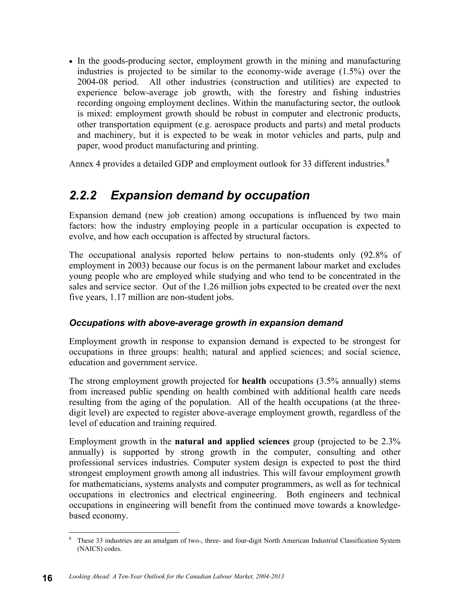• In the goods-producing sector, employment growth in the mining and manufacturing industries is projected to be similar to the economy-wide average (1.5%) over the 2004-08 period. All other industries (construction and utilities) are expected to experience below-average job growth, with the forestry and fishing industries recording ongoing employment declines. Within the manufacturing sector, the outlook is mixed: employment growth should be robust in computer and electronic products, other transportation equipment (e.g. aerospace products and parts) and metal products and machinery, but it is expected to be weak in motor vehicles and parts, pulp and paper, wood product manufacturing and printing.

Annex 4 provides a detailed GDP and employment outlook for 33 different industries.<sup>8</sup>

#### *2.2.2 Expansion demand by occupation*

Expansion demand (new job creation) among occupations is influenced by two main factors: how the industry employing people in a particular occupation is expected to evolve, and how each occupation is affected by structural factors.

The occupational analysis reported below pertains to non-students only (92.8% of employment in 2003) because our focus is on the permanent labour market and excludes young people who are employed while studying and who tend to be concentrated in the sales and service sector. Out of the 1.26 million jobs expected to be created over the next five years, 1.17 million are non-student jobs.

#### *Occupations with above-average growth in expansion demand*

Employment growth in response to expansion demand is expected to be strongest for occupations in three groups: health; natural and applied sciences; and social science, education and government service.

The strong employment growth projected for **health** occupations (3.5% annually) stems from increased public spending on health combined with additional health care needs resulting from the aging of the population. All of the health occupations (at the threedigit level) are expected to register above-average employment growth, regardless of the level of education and training required.

Employment growth in the **natural and applied sciences** group (projected to be 2.3% annually) is supported by strong growth in the computer, consulting and other professional services industries. Computer system design is expected to post the third strongest employment growth among all industries. This will favour employment growth for mathematicians, systems analysts and computer programmers, as well as for technical occupations in electronics and electrical engineering. Both engineers and technical occupations in engineering will benefit from the continued move towards a knowledgebased economy.

 $\frac{1}{8}$  These 33 industries are an amalgam of two-, three- and four-digit North American Industrial Classification System (NAICS) codes.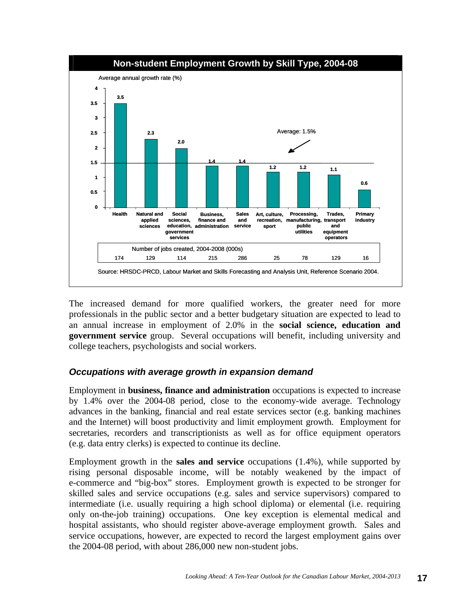

The increased demand for more qualified workers, the greater need for more professionals in the public sector and a better budgetary situation are expected to lead to an annual increase in employment of 2.0% in the **social science, education and government service** group. Several occupations will benefit, including university and college teachers, psychologists and social workers.

#### *Occupations with average growth in expansion demand*

Employment in **business, finance and administration** occupations is expected to increase by 1.4% over the 2004-08 period, close to the economy-wide average. Technology advances in the banking, financial and real estate services sector (e.g. banking machines and the Internet) will boost productivity and limit employment growth. Employment for secretaries, recorders and transcriptionists as well as for office equipment operators (e.g. data entry clerks) is expected to continue its decline.

Employment growth in the **sales and service** occupations (1.4%), while supported by rising personal disposable income, will be notably weakened by the impact of e-commerce and "big-box" stores. Employment growth is expected to be stronger for skilled sales and service occupations (e.g. sales and service supervisors) compared to intermediate (i.e. usually requiring a high school diploma) or elemental (i.e. requiring only on-the-job training) occupations. One key exception is elemental medical and hospital assistants, who should register above-average employment growth. Sales and service occupations, however, are expected to record the largest employment gains over the 2004-08 period, with about 286,000 new non-student jobs.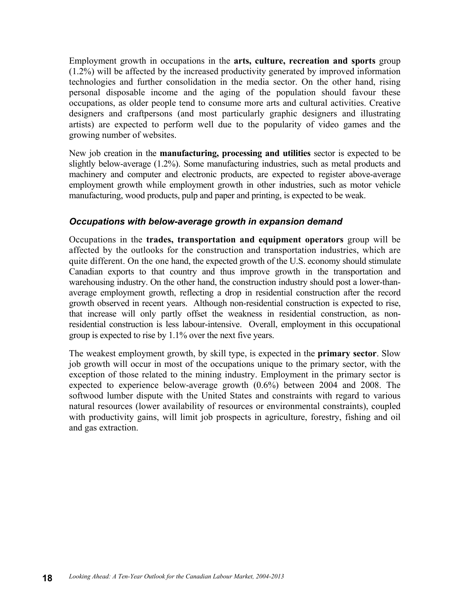Employment growth in occupations in the **arts, culture, recreation and sports** group (1.2%) will be affected by the increased productivity generated by improved information technologies and further consolidation in the media sector. On the other hand, rising personal disposable income and the aging of the population should favour these occupations, as older people tend to consume more arts and cultural activities. Creative designers and craftpersons (and most particularly graphic designers and illustrating artists) are expected to perform well due to the popularity of video games and the growing number of websites.

New job creation in the **manufacturing, processing and utilities** sector is expected to be slightly below-average (1.2%). Some manufacturing industries, such as metal products and machinery and computer and electronic products, are expected to register above-average employment growth while employment growth in other industries, such as motor vehicle manufacturing, wood products, pulp and paper and printing, is expected to be weak.

#### *Occupations with below-average growth in expansion demand*

Occupations in the **trades, transportation and equipment operators** group will be affected by the outlooks for the construction and transportation industries, which are quite different. On the one hand, the expected growth of the U.S. economy should stimulate Canadian exports to that country and thus improve growth in the transportation and warehousing industry. On the other hand, the construction industry should post a lower-thanaverage employment growth, reflecting a drop in residential construction after the record growth observed in recent years. Although non-residential construction is expected to rise, that increase will only partly offset the weakness in residential construction, as nonresidential construction is less labour-intensive. Overall, employment in this occupational group is expected to rise by 1.1% over the next five years.

The weakest employment growth, by skill type, is expected in the **primary sector**. Slow job growth will occur in most of the occupations unique to the primary sector, with the exception of those related to the mining industry. Employment in the primary sector is expected to experience below-average growth (0.6%) between 2004 and 2008. The softwood lumber dispute with the United States and constraints with regard to various natural resources (lower availability of resources or environmental constraints), coupled with productivity gains, will limit job prospects in agriculture, forestry, fishing and oil and gas extraction.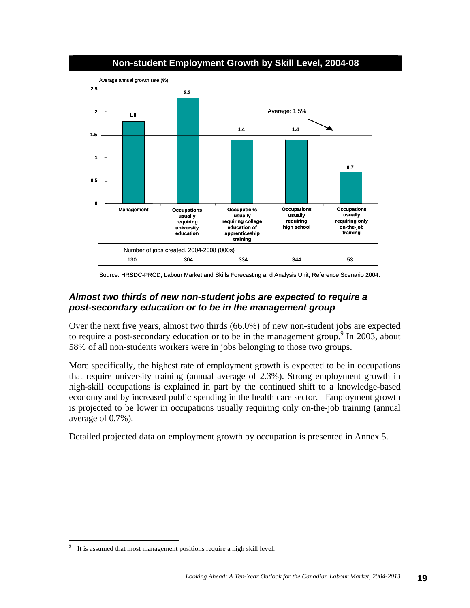

#### *Almost two thirds of new non-student jobs are expected to require a post-secondary education or to be in the management group*

Over the next five years, almost two thirds (66.0%) of new non-student jobs are expected to require a post-secondary education or to be in the management group. In 2003, about 58% of all non-students workers were in jobs belonging to those two groups.

More specifically, the highest rate of employment growth is expected to be in occupations that require university training (annual average of 2.3%). Strong employment growth in high-skill occupations is explained in part by the continued shift to a knowledge-based economy and by increased public spending in the health care sector. Employment growth is projected to be lower in occupations usually requiring only on-the-job training (annual average of 0.7%).

Detailed projected data on employment growth by occupation is presented in Annex 5.

 $\overline{a}$ 9 It is assumed that most management positions require a high skill level.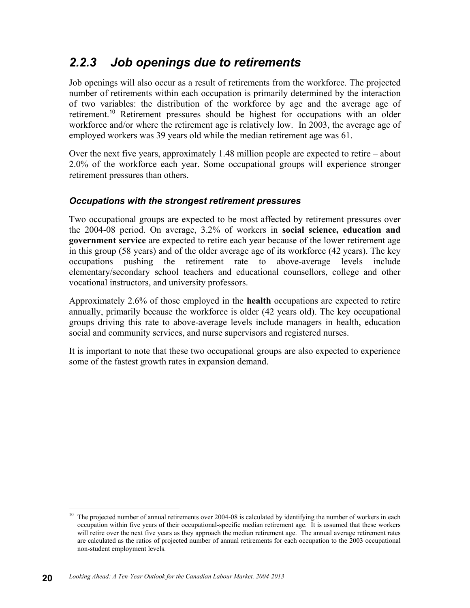#### *2.2.3 Job openings due to retirements*

Job openings will also occur as a result of retirements from the workforce. The projected number of retirements within each occupation is primarily determined by the interaction of two variables: the distribution of the workforce by age and the average age of retirement.<sup>10</sup> Retirement pressures should be highest for occupations with an older workforce and/or where the retirement age is relatively low. In 2003, the average age of employed workers was 39 years old while the median retirement age was 61.

Over the next five years, approximately 1.48 million people are expected to retire – about 2.0% of the workforce each year. Some occupational groups will experience stronger retirement pressures than others.

#### *Occupations with the strongest retirement pressures*

Two occupational groups are expected to be most affected by retirement pressures over the 2004-08 period. On average, 3.2% of workers in **social science, education and government service** are expected to retire each year because of the lower retirement age in this group (58 years) and of the older average age of its workforce (42 years). The key occupations pushing the retirement rate to above-average levels include elementary/secondary school teachers and educational counsellors, college and other vocational instructors, and university professors.

Approximately 2.6% of those employed in the **health** occupations are expected to retire annually, primarily because the workforce is older (42 years old). The key occupational groups driving this rate to above-average levels include managers in health, education social and community services, and nurse supervisors and registered nurses.

It is important to note that these two occupational groups are also expected to experience some of the fastest growth rates in expansion demand.

 $\overline{a}$ The projected number of annual retirements over 2004-08 is calculated by identifying the number of workers in each occupation within five years of their occupational-specific median retirement age. It is assumed that these workers will retire over the next five years as they approach the median retirement age. The annual average retirement rates are calculated as the ratios of projected number of annual retirements for each occupation to the 2003 occupational non-student employment levels.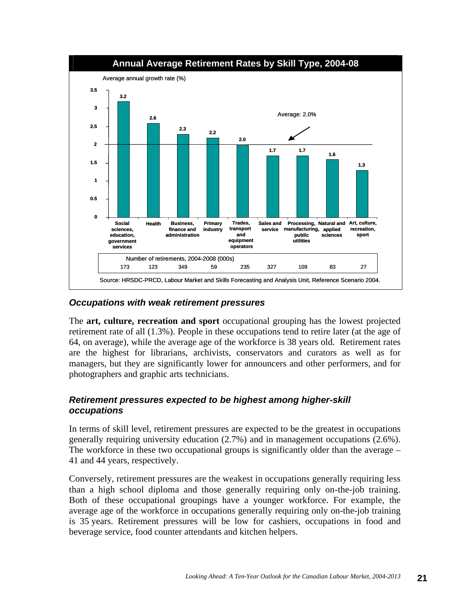

#### *Occupations with weak retirement pressures*

The **art, culture, recreation and sport** occupational grouping has the lowest projected retirement rate of all (1.3%). People in these occupations tend to retire later (at the age of 64, on average), while the average age of the workforce is 38 years old. Retirement rates are the highest for librarians, archivists, conservators and curators as well as for managers, but they are significantly lower for announcers and other performers, and for photographers and graphic arts technicians.

#### *Retirement pressures expected to be highest among higher-skill occupations*

In terms of skill level, retirement pressures are expected to be the greatest in occupations generally requiring university education (2.7%) and in management occupations (2.6%). The workforce in these two occupational groups is significantly older than the average – 41 and 44 years, respectively.

Conversely, retirement pressures are the weakest in occupations generally requiring less than a high school diploma and those generally requiring only on-the-job training. Both of these occupational groupings have a younger workforce. For example, the average age of the workforce in occupations generally requiring only on-the-job training is 35 years. Retirement pressures will be low for cashiers, occupations in food and beverage service, food counter attendants and kitchen helpers.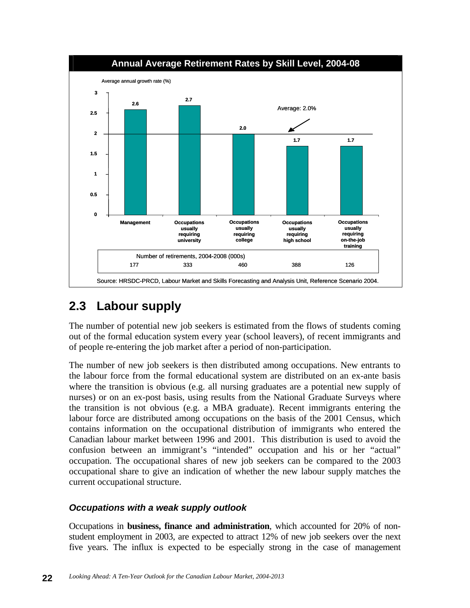

#### **2.3 Labour supply**

The number of potential new job seekers is estimated from the flows of students coming out of the formal education system every year (school leavers), of recent immigrants and of people re-entering the job market after a period of non-participation.

The number of new job seekers is then distributed among occupations. New entrants to the labour force from the formal educational system are distributed on an ex-ante basis where the transition is obvious (e.g. all nursing graduates are a potential new supply of nurses) or on an ex-post basis, using results from the National Graduate Surveys where the transition is not obvious (e.g. a MBA graduate). Recent immigrants entering the labour force are distributed among occupations on the basis of the 2001 Census, which contains information on the occupational distribution of immigrants who entered the Canadian labour market between 1996 and 2001. This distribution is used to avoid the confusion between an immigrant's "intended" occupation and his or her "actual" occupation. The occupational shares of new job seekers can be compared to the 2003 occupational share to give an indication of whether the new labour supply matches the current occupational structure.

#### *Occupations with a weak supply outlook*

Occupations in **business, finance and administration**, which accounted for 20% of nonstudent employment in 2003, are expected to attract 12% of new job seekers over the next five years. The influx is expected to be especially strong in the case of management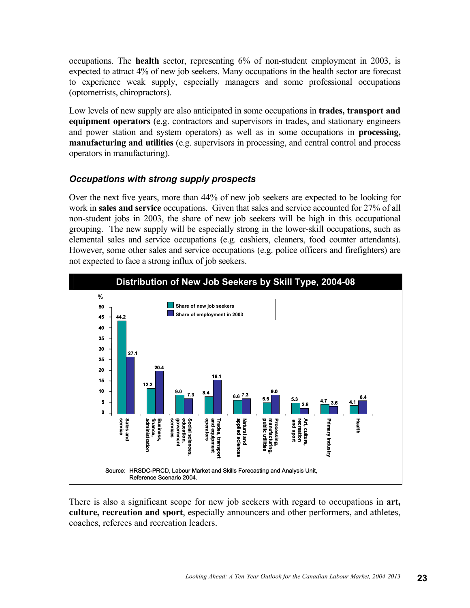occupations. The **health** sector, representing 6% of non-student employment in 2003, is expected to attract 4% of new job seekers. Many occupations in the health sector are forecast to experience weak supply, especially managers and some professional occupations (optometrists, chiropractors).

Low levels of new supply are also anticipated in some occupations in **trades, transport and equipment operators** (e.g. contractors and supervisors in trades, and stationary engineers and power station and system operators) as well as in some occupations in **processing, manufacturing and utilities** (e.g. supervisors in processing, and central control and process operators in manufacturing).

#### *Occupations with strong supply prospects*

Over the next five years, more than 44% of new job seekers are expected to be looking for work in **sales and service** occupations. Given that sales and service accounted for 27% of all non-student jobs in 2003, the share of new job seekers will be high in this occupational grouping. The new supply will be especially strong in the lower-skill occupations, such as elemental sales and service occupations (e.g. cashiers, cleaners, food counter attendants). However, some other sales and service occupations (e.g. police officers and firefighters) are not expected to face a strong influx of job seekers.



There is also a significant scope for new job seekers with regard to occupations in **art, culture, recreation and sport**, especially announcers and other performers, and athletes, coaches, referees and recreation leaders.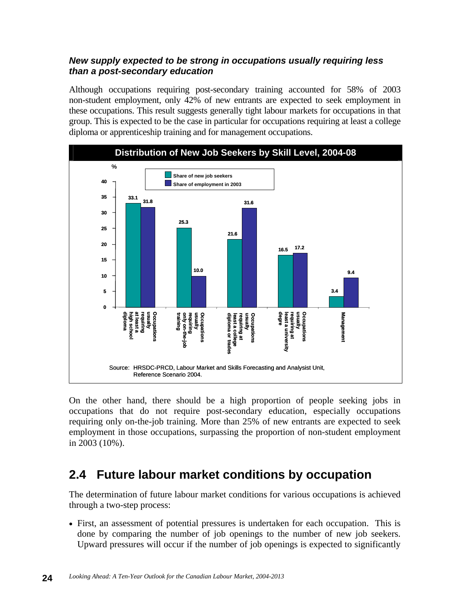#### *New supply expected to be strong in occupations usually requiring less than a post-secondary education*

Although occupations requiring post-secondary training accounted for 58% of 2003 non-student employment, only 42% of new entrants are expected to seek employment in these occupations. This result suggests generally tight labour markets for occupations in that group. This is expected to be the case in particular for occupations requiring at least a college diploma or apprenticeship training and for management occupations.



On the other hand, there should be a high proportion of people seeking jobs in occupations that do not require post-secondary education, especially occupations requiring only on-the-job training. More than 25% of new entrants are expected to seek employment in those occupations, surpassing the proportion of non-student employment in 2003 (10%).

#### **2.4 Future labour market conditions by occupation**

The determination of future labour market conditions for various occupations is achieved through a two-step process:

• First, an assessment of potential pressures is undertaken for each occupation. This is done by comparing the number of job openings to the number of new job seekers. Upward pressures will occur if the number of job openings is expected to significantly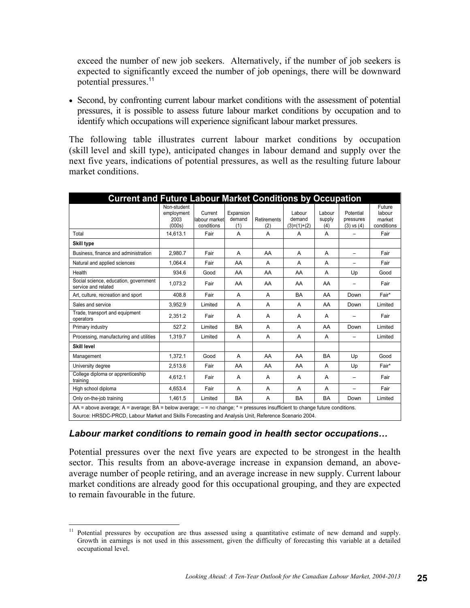exceed the number of new job seekers. Alternatively, if the number of job seekers is expected to significantly exceed the number of job openings, there will be downward potential pressures.<sup>11</sup>

• Second, by confronting current labour market conditions with the assessment of potential pressures, it is possible to assess future labour market conditions by occupation and to identify which occupations will experience significant labour market pressures.

The following table illustrates current labour market conditions by occupation (skill level and skill type), anticipated changes in labour demand and supply over the next five years, indications of potential pressures, as well as the resulting future labour market conditions.

| <b>Current and Future Labour Market Conditions by Occupation</b>                                                                                                                                                                      |                                             |                                        |                            |                    |                                   |                         |                                          |                                          |
|---------------------------------------------------------------------------------------------------------------------------------------------------------------------------------------------------------------------------------------|---------------------------------------------|----------------------------------------|----------------------------|--------------------|-----------------------------------|-------------------------|------------------------------------------|------------------------------------------|
|                                                                                                                                                                                                                                       | Non-student<br>employment<br>2003<br>(000s) | Current<br>labour market<br>conditions | Expansion<br>demand<br>(1) | Retirements<br>(2) | Labour<br>demand<br>$(3)=(1)+(2)$ | Labour<br>supply<br>(4) | Potential<br>pressures<br>$(3)$ vs $(4)$ | Future<br>labour<br>market<br>conditions |
| Total                                                                                                                                                                                                                                 | 14.613.1                                    | Fair                                   | A                          | A                  | A                                 | A                       |                                          | Fair                                     |
| Skill type                                                                                                                                                                                                                            |                                             |                                        |                            |                    |                                   |                         |                                          |                                          |
| Business, finance and administration                                                                                                                                                                                                  | 2.980.7                                     | Fair                                   | A                          | AA                 | A                                 | A                       | $\equiv$                                 | Fair                                     |
| Natural and applied sciences                                                                                                                                                                                                          | 1.064.4                                     | Fair                                   | AA                         | A                  | A                                 | A                       | $\equiv$                                 | Fair                                     |
| Health                                                                                                                                                                                                                                | 934.6                                       | Good                                   | AA                         | AA                 | AA                                | A                       | Up                                       | Good                                     |
| Social science, education, government<br>service and related                                                                                                                                                                          | 1,073.2                                     | Fair                                   | AA                         | AA                 | AA                                | AA                      |                                          | Fair                                     |
| Art, culture, recreation and sport                                                                                                                                                                                                    | 408.8                                       | Fair                                   | A                          | A                  | <b>BA</b>                         | AA                      | Down                                     | Fair*                                    |
| Sales and service                                                                                                                                                                                                                     | 3,952.9                                     | Limited                                | A                          | A                  | A                                 | AA                      | Down                                     | Limited                                  |
| Trade, transport and equipment<br>operators                                                                                                                                                                                           | 2.351.2                                     | Fair                                   | A                          | A                  | A                                 | A                       |                                          | Fair                                     |
| Primary industry                                                                                                                                                                                                                      | 527.2                                       | Limited                                | <b>BA</b>                  | A                  | A                                 | AA                      | Down                                     | Limited                                  |
| Processing, manufacturing and utilities                                                                                                                                                                                               | 1.319.7                                     | Limited                                | A                          | A                  | A                                 | A                       |                                          | Limited                                  |
| Skill level                                                                                                                                                                                                                           |                                             |                                        |                            |                    |                                   |                         |                                          |                                          |
| Management                                                                                                                                                                                                                            | 1.372.1                                     | Good                                   | A                          | AA                 | AA                                | <b>BA</b>               | Up                                       | Good                                     |
| University degree                                                                                                                                                                                                                     | 2,513.6                                     | Fair                                   | AA                         | AA                 | AA                                | A                       | Up                                       | Fair*                                    |
| College diploma or apprenticeship<br>training                                                                                                                                                                                         | 4.612.1                                     | Fair                                   | A                          | A                  | A                                 | A                       |                                          | Fair                                     |
| High school diploma                                                                                                                                                                                                                   | 4.653.4                                     | Fair                                   | A                          | A                  | A                                 | A                       | $\equiv$                                 | Fair                                     |
| Only on-the-job training                                                                                                                                                                                                              | 1.461.5                                     | Limited                                | <b>BA</b>                  | A                  | <b>BA</b>                         | <b>BA</b>               | Down                                     | Limited                                  |
| AA = above average; A = average; BA = below average; $-$ = no change; * = pressures insufficient to change future conditions.<br>Source: HRSDC-PRCD, Labour Market and Skills Forecasting and Analysis Unit, Reference Scenario 2004. |                                             |                                        |                            |                    |                                   |                         |                                          |                                          |

#### *Labour market conditions to remain good in health sector occupations…*

Potential pressures over the next five years are expected to be strongest in the health sector. This results from an above-average increase in expansion demand, an aboveaverage number of people retiring, and an average increase in new supply. Current labour market conditions are already good for this occupational grouping, and they are expected to remain favourable in the future.

 $\overline{a}$ 

<sup>11</sup> Potential pressures by occupation are thus assessed using a quantitative estimate of new demand and supply. Growth in earnings is not used in this assessment, given the difficulty of forecasting this variable at a detailed occupational level.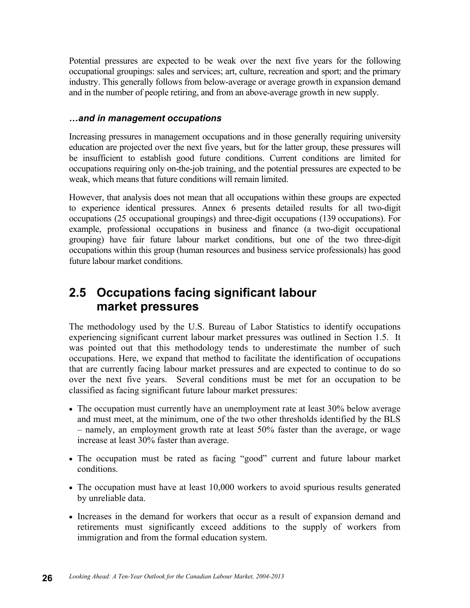Potential pressures are expected to be weak over the next five years for the following occupational groupings: sales and services; art, culture, recreation and sport; and the primary industry. This generally follows from below-average or average growth in expansion demand and in the number of people retiring, and from an above-average growth in new supply.

#### *…and in management occupations*

Increasing pressures in management occupations and in those generally requiring university education are projected over the next five years, but for the latter group, these pressures will be insufficient to establish good future conditions. Current conditions are limited for occupations requiring only on-the-job training, and the potential pressures are expected to be weak, which means that future conditions will remain limited.

However, that analysis does not mean that all occupations within these groups are expected to experience identical pressures. Annex 6 presents detailed results for all two-digit occupations (25 occupational groupings) and three-digit occupations (139 occupations). For example, professional occupations in business and finance (a two-digit occupational grouping) have fair future labour market conditions, but one of the two three-digit occupations within this group (human resources and business service professionals) has good future labour market conditions.

#### **2.5 Occupations facing significant labour market pressures**

The methodology used by the U.S. Bureau of Labor Statistics to identify occupations experiencing significant current labour market pressures was outlined in Section 1.5. It was pointed out that this methodology tends to underestimate the number of such occupations. Here, we expand that method to facilitate the identification of occupations that are currently facing labour market pressures and are expected to continue to do so over the next five years. Several conditions must be met for an occupation to be classified as facing significant future labour market pressures:

- The occupation must currently have an unemployment rate at least 30% below average and must meet, at the minimum, one of the two other thresholds identified by the BLS – namely, an employment growth rate at least 50% faster than the average, or wage increase at least 30% faster than average.
- The occupation must be rated as facing "good" current and future labour market conditions.
- The occupation must have at least 10,000 workers to avoid spurious results generated by unreliable data.
- Increases in the demand for workers that occur as a result of expansion demand and retirements must significantly exceed additions to the supply of workers from immigration and from the formal education system.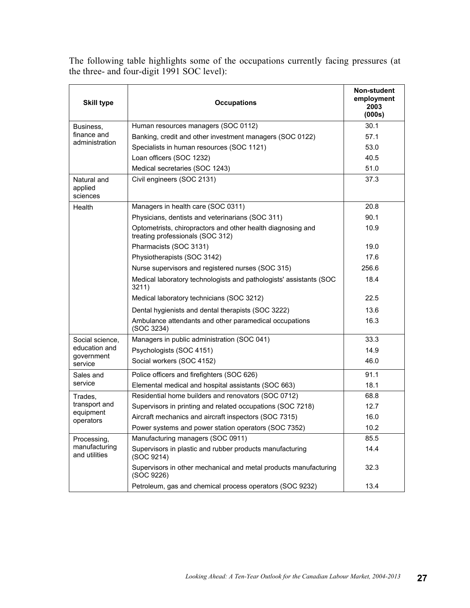The following table highlights some of the occupations currently facing pressures (at the three- and four-digit 1991 SOC level):

| <b>Skill type</b>                  | <b>Occupations</b>                                                                              | Non-student<br>employment<br>2003<br>(000s) |
|------------------------------------|-------------------------------------------------------------------------------------------------|---------------------------------------------|
| Business,                          | Human resources managers (SOC 0112)                                                             | 30.1                                        |
| finance and                        | Banking, credit and other investment managers (SOC 0122)                                        | 57.1                                        |
| administration                     | Specialists in human resources (SOC 1121)                                                       | 53.0                                        |
|                                    | Loan officers (SOC 1232)                                                                        | 40.5                                        |
|                                    | Medical secretaries (SOC 1243)                                                                  | 51.0                                        |
| Natural and<br>applied<br>sciences | Civil engineers (SOC 2131)                                                                      | 37.3                                        |
| Health                             | Managers in health care (SOC 0311)                                                              | 20.8                                        |
|                                    | Physicians, dentists and veterinarians (SOC 311)                                                | 90.1                                        |
|                                    | Optometrists, chiropractors and other health diagnosing and<br>treating professionals (SOC 312) | 10.9                                        |
|                                    | Pharmacists (SOC 3131)                                                                          | 19.0                                        |
|                                    | Physiotherapists (SOC 3142)                                                                     | 17.6                                        |
|                                    | Nurse supervisors and registered nurses (SOC 315)                                               | 256.6                                       |
|                                    | Medical laboratory technologists and pathologists' assistants (SOC<br>3211)                     | 18.4                                        |
|                                    | Medical laboratory technicians (SOC 3212)                                                       | 22.5                                        |
|                                    | Dental hygienists and dental therapists (SOC 3222)                                              | 13.6                                        |
|                                    | Ambulance attendants and other paramedical occupations<br>(SOC 3234)                            | 16.3                                        |
| Social science,                    | Managers in public administration (SOC 041)                                                     | 33.3                                        |
| education and                      | Psychologists (SOC 4151)                                                                        | 14.9                                        |
| government<br>service              | Social workers (SOC 4152)                                                                       | 46.0                                        |
| Sales and                          | Police officers and firefighters (SOC 626)                                                      | 91.1                                        |
| service                            | Elemental medical and hospital assistants (SOC 663)                                             | 18.1                                        |
| Trades.                            | Residential home builders and renovators (SOC 0712)                                             | 68.8                                        |
| transport and<br>equipment         | Supervisors in printing and related occupations (SOC 7218)                                      | 12.7                                        |
| operators                          | Aircraft mechanics and aircraft inspectors (SOC 7315)                                           | 16.0                                        |
|                                    | Power systems and power station operators (SOC 7352)                                            | 10.2                                        |
| Processing,                        | Manufacturing managers (SOC 0911)                                                               | 85.5                                        |
| manufacturing<br>and utilities     | Supervisors in plastic and rubber products manufacturing<br>(SOC 9214)                          | 14.4                                        |
|                                    | Supervisors in other mechanical and metal products manufacturing<br>(SOC 9226)                  | 32.3                                        |
|                                    | Petroleum, gas and chemical process operators (SOC 9232)                                        | 13.4                                        |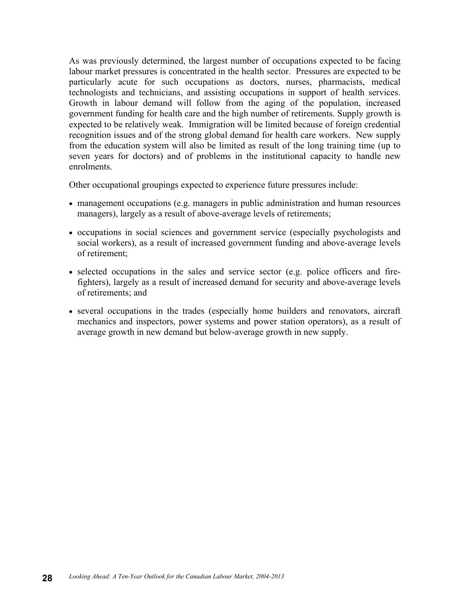As was previously determined, the largest number of occupations expected to be facing labour market pressures is concentrated in the health sector. Pressures are expected to be particularly acute for such occupations as doctors, nurses, pharmacists, medical technologists and technicians, and assisting occupations in support of health services. Growth in labour demand will follow from the aging of the population, increased government funding for health care and the high number of retirements. Supply growth is expected to be relatively weak. Immigration will be limited because of foreign credential recognition issues and of the strong global demand for health care workers. New supply from the education system will also be limited as result of the long training time (up to seven years for doctors) and of problems in the institutional capacity to handle new enrolments.

Other occupational groupings expected to experience future pressures include:

- management occupations (e.g. managers in public administration and human resources managers), largely as a result of above-average levels of retirements;
- occupations in social sciences and government service (especially psychologists and social workers), as a result of increased government funding and above-average levels of retirement;
- selected occupations in the sales and service sector (e.g. police officers and firefighters), largely as a result of increased demand for security and above-average levels of retirements; and
- several occupations in the trades (especially home builders and renovators, aircraft mechanics and inspectors, power systems and power station operators), as a result of average growth in new demand but below-average growth in new supply.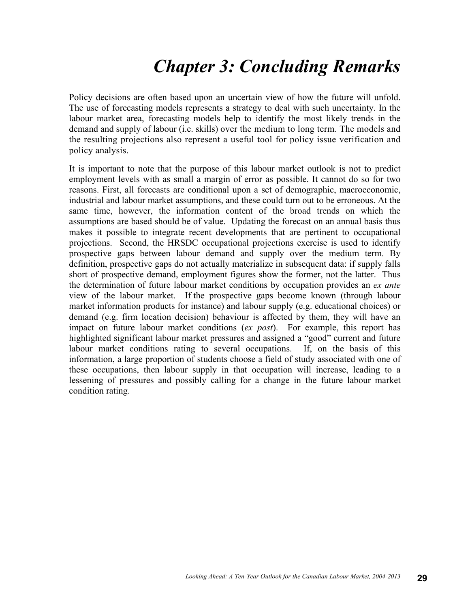# *Chapter 3: Concluding Remarks*

Policy decisions are often based upon an uncertain view of how the future will unfold. The use of forecasting models represents a strategy to deal with such uncertainty. In the labour market area, forecasting models help to identify the most likely trends in the demand and supply of labour (i.e. skills) over the medium to long term. The models and the resulting projections also represent a useful tool for policy issue verification and policy analysis.

It is important to note that the purpose of this labour market outlook is not to predict employment levels with as small a margin of error as possible. It cannot do so for two reasons. First, all forecasts are conditional upon a set of demographic, macroeconomic, industrial and labour market assumptions, and these could turn out to be erroneous. At the same time, however, the information content of the broad trends on which the assumptions are based should be of value. Updating the forecast on an annual basis thus makes it possible to integrate recent developments that are pertinent to occupational projections. Second, the HRSDC occupational projections exercise is used to identify prospective gaps between labour demand and supply over the medium term. By definition, prospective gaps do not actually materialize in subsequent data: if supply falls short of prospective demand, employment figures show the former, not the latter. Thus the determination of future labour market conditions by occupation provides an *ex ante* view of the labour market. If the prospective gaps become known (through labour market information products for instance) and labour supply (e.g. educational choices) or demand (e.g. firm location decision) behaviour is affected by them, they will have an impact on future labour market conditions (*ex post*). For example, this report has highlighted significant labour market pressures and assigned a "good" current and future labour market conditions rating to several occupations. If, on the basis of this information, a large proportion of students choose a field of study associated with one of these occupations, then labour supply in that occupation will increase, leading to a lessening of pressures and possibly calling for a change in the future labour market condition rating.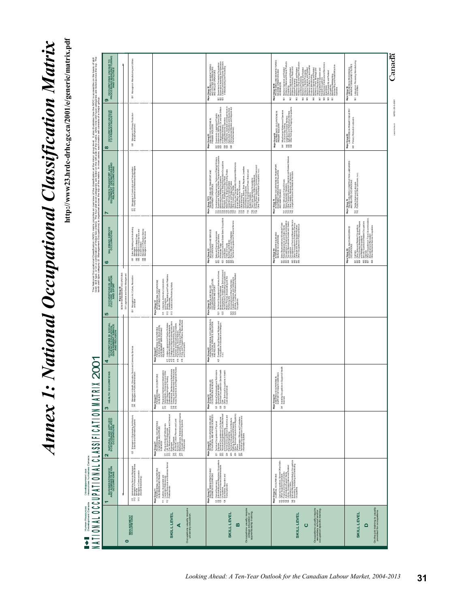# **Annex 1: National Occupational Classification Matrix** *Annex 1: National Occupational Classification Matrix*

http://www23.hrdc-drhc.gc.ca/2001/e/generic/matrix.pdf **http://www23.hrdc-drhc.gc.ca/2001/e/generic/matrix.pdf**

# Développement des<br>ressources humaines Human Resources<br>Development Canada

|                                                                                                                                                                                                                                        | PROCESSING MANUFACTURING<br>ၜ                                                          |                                                                                         | Managers in Manufacturing and Utilities<br>$\mathbb{\overline{S}}$                                                                                                                  |                                                                                                                                                                                                                                                                                                                                                                             | Supervisors Processing Occupations<br>Supervisors , Assembly and Fabrication<br>Central Control and Process Operators<br>In Manufacturing and Processing<br>Major Geoup 92<br>PROCESSING, MANUFACTURING<br>AND UT ILITIES SUPERVISORS<br>AND SKILLED OPERATORS<br>588                                                                                                                                     | Major Group 94%<br> PROCRESS DPERATORS AND<br> ASSEMBLERS<br> ASSEMBLERS                                                                                                                                                                                                                                                     | Labourers in Processing, Manufacturing<br>and Ultilities<br>Major Group 96<br>LABO LRERS IN PROCESSING.<br>MANUFACTURING AND UTILITIES<br>$\overline{\mathbb{S}}$                                                                                                                                                         | Canadä                         |
|----------------------------------------------------------------------------------------------------------------------------------------------------------------------------------------------------------------------------------------|----------------------------------------------------------------------------------------|-----------------------------------------------------------------------------------------|-------------------------------------------------------------------------------------------------------------------------------------------------------------------------------------|-----------------------------------------------------------------------------------------------------------------------------------------------------------------------------------------------------------------------------------------------------------------------------------------------------------------------------------------------------------------------------|-----------------------------------------------------------------------------------------------------------------------------------------------------------------------------------------------------------------------------------------------------------------------------------------------------------------------------------------------------------------------------------------------------------|------------------------------------------------------------------------------------------------------------------------------------------------------------------------------------------------------------------------------------------------------------------------------------------------------------------------------|---------------------------------------------------------------------------------------------------------------------------------------------------------------------------------------------------------------------------------------------------------------------------------------------------------------------------|--------------------------------|
| $\infty$                                                                                                                                                                                                                               | OCCUPATIONS UNIQUE<br>TO PRIMARY INDUSTRY                                              |                                                                                         | Managers in Primary Production<br>(Except Agriculture)<br>$\overline{\mathbb{8}}$                                                                                                   |                                                                                                                                                                                                                                                                                                                                                                             | r) Supervisors, Logging and Forestry<br>25 Underground/Mines, Oli and Gas Dirles<br>36 Underground/Mines, Oli and Gas Dirles<br>36 Underground/Mines, Oliveiran<br>56 Entering Viewel Masses and Supervisors<br>86 Entering Viewel Masses and<br>Major Group 82<br>Skill Edoccupations N<br>Primary Industry<br>599 59 8                                                                                  | 841 Mine Service Workers and Operators<br>842 Loggillg and Exterly Workers<br>842 Loggillg and Foresty Workers<br>844 Other Fishing and Trapping Occupations<br>Major Group 84<br>INTERMEDIATE OCCUPATIONS IN<br>PRIMARY INDUSTRY                                                                                            | Major Group 86<br>LABOURERS IN PRIMARY INDUSTRY<br>861 Primary Production Labourers                                                                                                                                                                                                                                       | MP53-25-3-2001<br>LM-279-05-01 |
| The National Occupational Chastification (NOC) marks provident of the dasalfication at the more provident than the NOC is accessible on the basis of skill.<br>The National Charles of the Charles Charles and the Charles of the<br>N | <b>TRADESTRANSPOTT AND<br/>EQUIPMENT OPERATORS AND</b><br>RELATED OCCUPATIONS          |                                                                                         | Managers in Construction and Transportation<br>Facility Operation and Maintenance Managers<br>$\overline{\rm s}$                                                                    |                                                                                                                                                                                                                                                                                                                                                                             | Major Group 72/73<br>TRADES AND SKILLED TRANSPORT AND<br>EQUIPMENT OPERATORS                                                                                                                                                                                                                                                                                                                              | Motor Vehicle and Transit Drivers<br>Other Transport Equipment Operation and Realated Workers<br>Other Transport Equipment Operation and Realated Workers<br>Cultur I to all res, Regaling ways and Shamples<br>Major Group 74<br>ENGIEMENT OPERATION, INSTALLININ<br>AND MANTENANCE<br>AND MANTENANCE<br>포웠었곳               | Major Group 76<br>TRUCES HELPERS, CONSTRUCTION LABOURERS<br>AND RELATED OCCUPATIONS<br>761 Trades Helpers and Labourers<br>762 Public Works and Other Labourers, n.e.c.                                                                                                                                                   |                                |
|                                                                                                                                                                                                                                        | SALESAND SERVICE<br>ဖ                                                                  |                                                                                         | 1 Sales, Marketing and Advertaing<br>2 Maragers in Robel Trade<br>3 Maragers in Food Service and<br>4 Maragers in Other Service<br>4 Maragers in Other Services<br>5 88 88          |                                                                                                                                                                                                                                                                                                                                                                             | 21 Sales and Service Supervisors<br>22 Whose Market School (Results Sales Coorpations<br>26 Whose Market School (Results Sales Coorpations<br>26 Whose Andreas Constants (Results Sales Coorpations)<br>26 Whose Michael Coorpations (Resu<br>Major Group 62<br>SKILLED SALES AND SERVICE<br>OCCUPATIONS<br>59 9 5985                                                                                     | 1 Sales Representatives (Workesale Tanda<br>2 Octuvalization 1 Travel and Accordings<br>3 Octuvalization 1 Travel and Accordings<br>4 Dour and Recreational Guide and Castrico<br>5 Octuvalization 1 Force and Bowlesgov (Workesale 2001)<br><br>Major Group 64<br>INTERMEDATE SALES AND<br>SERVICE OCCUPATIONS<br>2882 8888 | g (однына на Ratato Coppating<br>9 К Росс Социал Алакаета, Клонин Ирия<br>65 Кока Одна и Алакаета, Клонин Ирия<br>65 Кока Одна и Велико Социалист<br>67 Олег Волинда Service Социалиста<br>68 Олег Волинда Service Социалиста<br>Maip réroup és<br>ELEMENTAL SALES AND SERVICE<br>OCCUPATIONS<br>593 335<br>$\mathsf{\$}$ |                                |
| 5                                                                                                                                                                                                                                      | <b>COLTURE, RECRATION</b><br>CULTURE, RECRATION                                        | Major Group 00<br>SENIOR MANAGEMENT OCCUPATIONS<br>001 Legslators and Senior Management | 051 Managers in Art, Culture, Recreation                                                                                                                                            | 511 Libratians, Archivists, Conservators<br>512 - Witting, Translating and Public Realstons<br>513 - Creative and Performing Artiss<br>Maip Formup 51<br>PROFESSIONAL OCCUPATIONS<br>IN ART AND CULTURE                                                                                                                                                                     | r1 Tapinial Coopalistei (Libraire, Archives,<br>2 Thompson Cooperation (Libraire, Archives, 2015)<br>2 Thompson Coophicide Sciences and<br>2 Thompson Cooperation (Sciences and Sciences)<br>Michael Cooperation (Michael Cooperation)<br>2 A<br>Maior Group 52<br>TECHNICA AND SKILLED<br>RECREATIONS IN ART, CULTURE,<br>RECREATION AND SPORT<br>$\overline{\mathbb{S}}$ $\overline{\mathbb{S}}$<br>838 |                                                                                                                                                                                                                                                                                                                              |                                                                                                                                                                                                                                                                                                                           |                                |
|                                                                                                                                                                                                                                        | OCCUPATIONS IN SOCIAL<br>SCIENCE, EDUCATION<br>GOVERNMENT SERVICE<br>AND RELIGION<br>4 |                                                                                         |                                                                                                                                                                                     | 4:11 : Lindges Linving a and Drudesc Nobels<br>4:41 : Society and Drume Market School (1998)<br>4:45 : Society and Drume Market School (1998)<br>4:55 : Society and Drume School (1998)<br>4:16 : Representation (1998)<br>4:16 : Representat<br><b>Major George 41<br/>PROFESSIOCHE CELOUGNION,<br/>CASCOMAL SCIENCE EEU CONNIC<br/>CASCOMAL SEN CESS AND<br/>RELIGION</b> | Mailpid Point Discount of State Providers (1998)<br>MW 2020 ASSON SERVICES, EDUCATION<br>MW 2020 ASSON SERVICES, EDUCATION<br>421 Paranges & Scale Service Worker<br>Construction in Education and Reignal                                                                                                                                                                                                |                                                                                                                                                                                                                                                                                                                              |                                                                                                                                                                                                                                                                                                                           |                                |
| <b>NIX 2001</b><br>S                                                                                                                                                                                                                   | <b>HEALTH OCCUPATIONS</b>                                                              |                                                                                         | Managers in Health, Education, Social and Community Services<br>Managers in Public Administration<br>$\bar{8}\bar{3}$                                                               | 311 Physicians, Dentista and Veter hastats<br>2312 Metals Dagnosing and Treaty of Divisi<br>3313 Photosasceala, popularisation of Divisi<br>3313 Photosasceala, popularisation (Municipalis<br>314 Thereby and Assessme Registered Nurses<br><br>SIONAL OCCUPATIONS<br>Major Group 31<br>PROFESSI<br>IN HEALTH                                                              | 321 Medical Technologiats and Techniclairs<br>322 Technical Orcoupediors in Dertail Health<br>323 Care and Pechnical Orchitects Dertail Health<br>323 Care (Except Dertail)<br>Major Group 32<br>TECHNICAL AND SKILLED<br>OCCUPATIONS IN HEALTH                                                                                                                                                           | 341 Assisting Occupations in Support of Health<br>Major Geoup 34<br>ASSISTING OCCUPATIONS IN<br>SUPPORT OF HEALTH SERVICES                                                                                                                                                                                                   |                                                                                                                                                                                                                                                                                                                           |                                |
| LA TO N M A TU C C C C D TA A L O N A L O C C C C D D C C C O TA A C N A T O N M A T                                                                                                                                                   | <b>NATURAL AND APPLIED</b><br>SCIENCESAND RELATED<br>SCIENCESAND RELATED<br>2          |                                                                                         | 021 Managers in Engineering Architecture,                                                                                                                                           | 211 Physical Storeophysicals<br>221 Christopherical Editorial and Chambal<br>224 Christopherical Editorial and Chambal<br>224 Christopherical International<br>225 Computer and International and Acuate<br>221 Computer and International an<br>Major Group 21<br>PROFESISIONAL O COUPATIONS<br>IN NATURAL AND APPLIED<br>SCIENCES                                         | 22 Topped Conations in Principal<br>22 Topped Conations in Concerning<br>22 Topped Concerning in European State<br>22 Topped Concerning in European State<br>22 Topped Concerning in European State<br>22 Topped Concerning State State<br>23 To<br>Maior Group 22<br>TECHNICAL OCCUPATIONS RELATED<br>TO NATURAL AND APPLIED SCIENCES                                                                    |                                                                                                                                                                                                                                                                                                                              |                                                                                                                                                                                                                                                                                                                           |                                |
|                                                                                                                                                                                                                                        | AND ADMINISTRATION<br>AND ADMINISTRATION<br>٣                                          | Ť                                                                                       | 1 Administrative Services Managers<br>2 Managers in Financial and Business<br>3 Services in Communication<br>3 (Except Broadcasiting)<br>$\overline{5} \overline{8}$ $\overline{8}$ | 111 Audibos, Accountants and<br>112 Investment Professionals<br>112 Incides/Loais<br>Major Group 11<br>PROFESSO MALO COUPATIONS<br>IN BUSINESS AND FINANCE                                                                                                                                                                                                                  | 121 Clerical Supervisors<br>122 France and hard processions<br>122 France and hard and Administative<br>123 Gocupations<br>141 Transcriptions<br>Transcriptions<br>Majo r Group 12<br>SKILLED ADMINISTRATIVE AND<br>BUSINESS OCCUPATIONS                                                                                                                                                                  | 141 Celvid Cocupations, General Ofice SHis<br>142 February School Cocupations<br>142 February School Celvid<br>143 Lignary School Celvid<br>145 Ballymathy, Castle Christian Corporation<br>145 Georgia Cocupations (Corporations)<br>145 Georgi<br>Major Group 14<br>CLERICAL OCCUPATIONS                                   |                                                                                                                                                                                                                                                                                                                           |                                |
| =                                                                                                                                                                                                                                      |                                                                                        | $\bullet$                                                                               | <b>MAN AGEMENT</b><br>OCCUPATIONS                                                                                                                                                   | Occupations usually require<br><b>SKILLLEVEL</b><br>∢                                                                                                                                                                                                                                                                                                                       | Occupations usually require<br>college education or<br>apprenticeship training.<br><b>SKILLLEVEL</b><br>m                                                                                                                                                                                                                                                                                                 | Occupations usually require<br>secondary school and/or<br>occupation-specific training.<br><b>SKILL LEVEL</b><br>$\circ$                                                                                                                                                                                                     | On-the-job training is usually<br>provided for occupations.<br><b>SKILLLEVEL</b><br>$\Omega$                                                                                                                                                                                                                              |                                |

MP53-25-3-200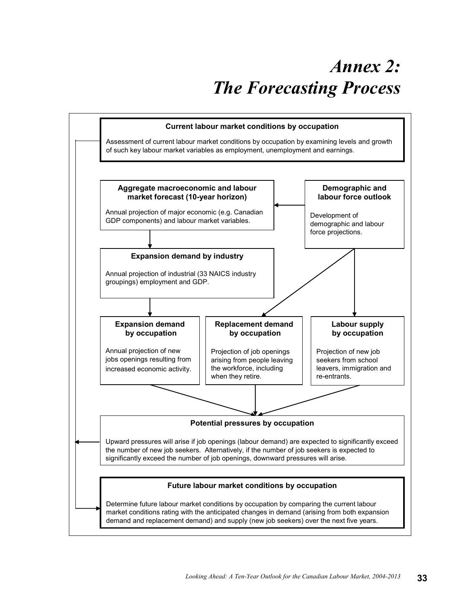# *Annex 2: The Forecasting Process*

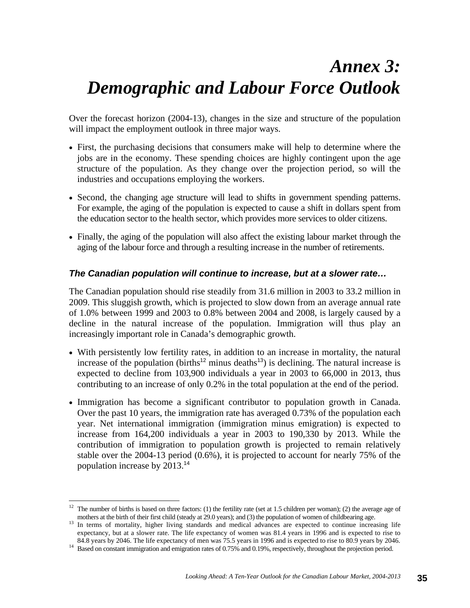# *Annex 3: Demographic and Labour Force Outlook*

Over the forecast horizon (2004-13), changes in the size and structure of the population will impact the employment outlook in three major ways.

- First, the purchasing decisions that consumers make will help to determine where the jobs are in the economy. These spending choices are highly contingent upon the age structure of the population. As they change over the projection period, so will the industries and occupations employing the workers.
- Second, the changing age structure will lead to shifts in government spending patterns. For example, the aging of the population is expected to cause a shift in dollars spent from the education sector to the health sector, which provides more services to older citizens.
- Finally, the aging of the population will also affect the existing labour market through the aging of the labour force and through a resulting increase in the number of retirements.

#### *The Canadian population will continue to increase, but at a slower rate…*

The Canadian population should rise steadily from 31.6 million in 2003 to 33.2 million in 2009. This sluggish growth, which is projected to slow down from an average annual rate of 1.0% between 1999 and 2003 to 0.8% between 2004 and 2008, is largely caused by a decline in the natural increase of the population. Immigration will thus play an increasingly important role in Canada's demographic growth.

- With persistently low fertility rates, in addition to an increase in mortality, the natural increase of the population (births<sup>12</sup> minus deaths<sup>13</sup>) is declining. The natural increase is expected to decline from 103,900 individuals a year in 2003 to 66,000 in 2013, thus contributing to an increase of only 0.2% in the total population at the end of the period.
- Immigration has become a significant contributor to population growth in Canada. Over the past 10 years, the immigration rate has averaged 0.73% of the population each year. Net international immigration (immigration minus emigration) is expected to increase from 164,200 individuals a year in 2003 to 190,330 by 2013. While the contribution of immigration to population growth is projected to remain relatively stable over the 2004-13 period (0.6%), it is projected to account for nearly 75% of the population increase by 2013.<sup>14</sup>

1

<sup>&</sup>lt;sup>12</sup> The number of births is based on three factors: (1) the fertility rate (set at 1.5 children per woman); (2) the average age of

mothers at the birth of their first child (steady at 29.0 years); and (3) the population of women of childbearing age.<br><sup>13</sup> In terms of mortality, higher living standards and medical advances are expected to continue incre expectancy, but at a slower rate. The life expectancy of women was 81.4 years in 1996 and is expected to rise to 84.8 years by 2046. The life expectancy of men was 75.5 years in 1996 and is expected to rise to 80.9 years by 2046.<br><sup>14</sup> Based on constant immigration and emigration rates of 0.75% and 0.19%, respectively, throughout the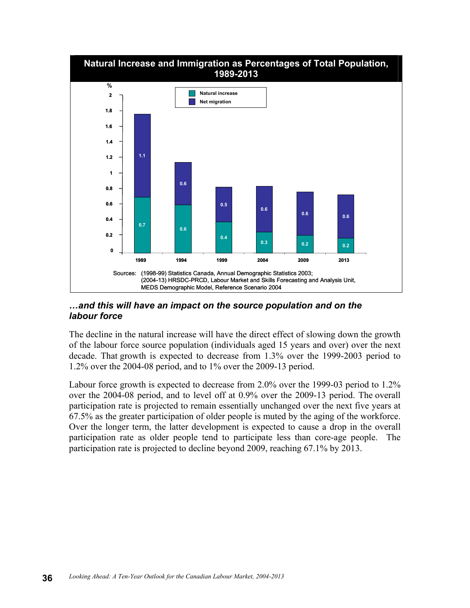

#### *…and this will have an impact on the source population and on the labour force*

The decline in the natural increase will have the direct effect of slowing down the growth of the labour force source population (individuals aged 15 years and over) over the next decade. That growth is expected to decrease from 1.3% over the 1999-2003 period to 1.2% over the 2004-08 period, and to 1% over the 2009-13 period.

Labour force growth is expected to decrease from 2.0% over the 1999-03 period to 1.2% over the 2004-08 period, and to level off at 0.9% over the 2009-13 period. The overall participation rate is projected to remain essentially unchanged over the next five years at 67.5% as the greater participation of older people is muted by the aging of the workforce. Over the longer term, the latter development is expected to cause a drop in the overall participation rate as older people tend to participate less than core-age people. The participation rate is projected to decline beyond 2009, reaching 67.1% by 2013.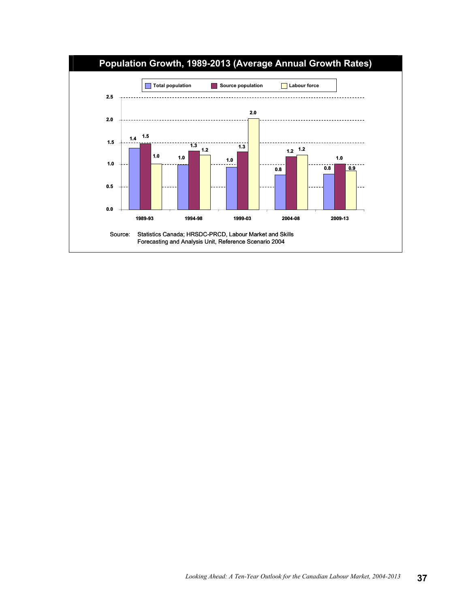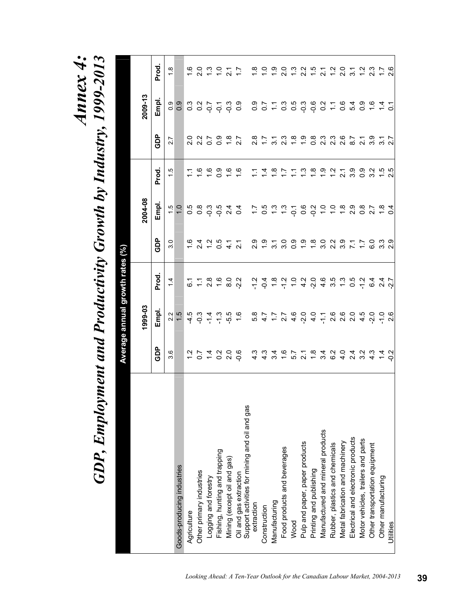*Annex 4:* 

# Annex 4:<br>GDP, Employment and Productivity Growth by Industry, 1999-2013 *GDP, Employment and Productivity Growth by Industry, 1999-2013*

|                                                                         |                      |               | Average annual growth rates (%)                         |                  |                |                        |                         |                  |                  |
|-------------------------------------------------------------------------|----------------------|---------------|---------------------------------------------------------|------------------|----------------|------------------------|-------------------------|------------------|------------------|
|                                                                         |                      | 1999-03       |                                                         |                  | 2004-08        |                        |                         | $2009 - 13$      |                  |
|                                                                         | <b>GDP</b>           | Empl.         | Prod.                                                   | GDP              | Empl.          | Prod.                  | GDP                     | Empl.            | Prod.            |
|                                                                         | ဖ<br>ო               | 2.2           | $1\overline{4}$                                         | 30               | $\frac{5}{1}$  | ယ္                     | 2.7                     | 0.9              | œ.               |
| Goods-producing industries                                              |                      | 1.5           |                                                         |                  | $\frac{0}{1}$  |                        |                         | 0.9              |                  |
| Agriculture                                                             |                      | $-4.5$        | 6.1                                                     | $\frac{6}{1}$    | $\frac{5}{2}$  |                        |                         |                  |                  |
| Other primary industries                                                | 50                   | $-0.3$        |                                                         | $\frac{4}{2}$    | 0.8            | ڢ                      | 0 2 2<br>2 3 0<br>2 0 0 | s s s s<br>c s s |                  |
| Logging and forestry                                                    |                      | $\frac{4}{7}$ | $\frac{1}{2}$ 8                                         | $\frac{1}{2}$    | <u>ှ</u>       | <u>ဖ</u>               |                         |                  | $\frac{3}{2}$    |
| Fishing, hunting and trapping                                           | $\frac{2}{3}$        | ಼             | $\frac{6}{1}$                                           | $\frac{5}{2}$    | $-0.5$         | တ္                     | 0.9                     |                  |                  |
| Mining (except oil and gas)                                             | $\frac{0}{2}$        | -5.5          | $\frac{0}{8}$                                           | प<br>प           | 2.4            |                        | $\frac{8}{1}$           | င္ ဗံု<br>၁ ၁ ၁  | $\tilde{\Omega}$ |
|                                                                         | ိုင                  | $\frac{6}{1}$ | $-2.2$                                                  | $\overline{2.1}$ | $\overline{q}$ | ڢّ                     | 2.7                     |                  |                  |
| Oil and gas extraction<br>Support activities for mining and oil and gas |                      |               |                                                         |                  |                |                        |                         |                  |                  |
| extraction                                                              | $\frac{3}{4}$        | 5.4<br>4.7    | $-1.2$                                                  | 2.9              | $\ddot{ }$     |                        | $\frac{8}{2}$           |                  | $\frac{8}{1}$    |
| Construction                                                            | $\frac{3}{4}$        |               |                                                         | ္                | 0.5            |                        | $\mathcal{L}$           |                  |                  |
| Manufacturing                                                           | ઝ.<br>ત              |               |                                                         | $\frac{2}{3}$    | $\frac{3}{2}$  | $\frac{\infty}{\cdot}$ | $\frac{1}{3}$           | 0.5000           |                  |
| Food products and beverages                                             | $\frac{6}{1}$        |               | $\frac{4}{9}$ $\frac{6}{9}$ $\frac{7}{9}$ $\frac{6}{9}$ | .<br>೧           | $\frac{3}{2}$  |                        | 2.3                     |                  | ິດ<br>ລ          |
| Wood                                                                    | 5.7                  |               |                                                         | °.0              | 7600           |                        | $\frac{8}{1}$           | 3<br>0.5<br>0.0  |                  |
| Pulp and paper, paper products                                          | $\tilde{\mathbf{a}}$ |               |                                                         | $\ddot{ }$ .     |                | <u>ო</u>               | $\frac{0}{1}$           | $-0.3$           | $\frac{2}{3}$    |
| Printing and publishing                                                 | $\frac{8}{1}$        |               | 4 <i>M</i> 4 W 4<br><i>A</i> 7 M W 4                    | $\frac{8}{10}$   |                | œ.                     | $\frac{8}{2}$           |                  | نې<br>ب          |
| Manufactured and mineral products                                       | 34                   |               |                                                         | $\frac{0}{3}$    | $\ddot{ }$     | ာ.                     | 2.3                     |                  | ্র               |
| Rubber, plastics and chemicals                                          | <u>ွ</u>             |               |                                                         | $\frac{2}{3}$    | $\frac{1}{2}$  |                        | $2 \cdot 3$             | $0.07$<br>$0.7$  |                  |
| Metal fabrication and machinery                                         | $\frac{0}{4}$        |               |                                                         | 3.9              | $\frac{8}{1}$  | Ñ                      | 2.6                     |                  | o<br>2           |
| Electrical and electronic products                                      | 2.4                  |               | 0.5                                                     | $\frac{1}{2}$    | 0.<br>2        | ား                     | 8.7                     | 0.4<br>0.4       | $\frac{1}{3}$    |
| Motor vehicles, trailers and parts                                      | $\frac{3}{2}$        |               |                                                         | $\ddot{ }$ :     | $\frac{8}{2}$  | တ္<br>0                | $\overline{2}$ .        | $\frac{5}{2}$    |                  |
| Other transportation equipment                                          | ್<br>4               |               |                                                         | ္ပ               | 27             | ო                      | 3.9                     |                  | ვ<br>23          |
| Other manufacturing                                                     | $\frac{4}{4}$ of     |               | 7 6 7 7<br>7 6 7 7 7                                    | 3<br>3<br>2<br>2 |                |                        | $37$<br>$27$            | $647$<br>$-52$   |                  |
| Utilities                                                               |                      |               |                                                         |                  | 0.4            | rù<br>Σ                |                         |                  | 2.6              |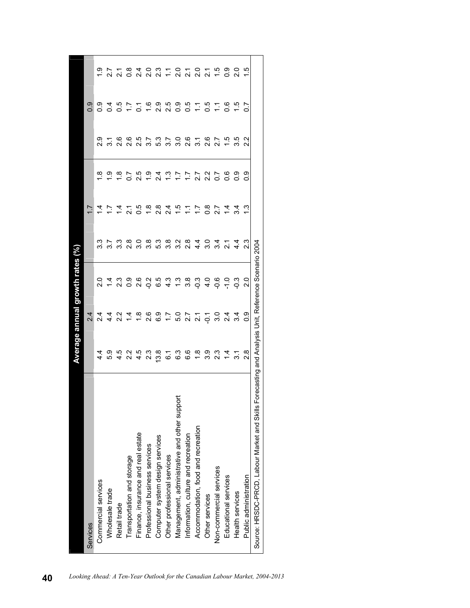|                                              |                                                        |                                            | Average annual growth rates $(\%)$ |                  |                |                        |                        |                       |                       |
|----------------------------------------------|--------------------------------------------------------|--------------------------------------------|------------------------------------|------------------|----------------|------------------------|------------------------|-----------------------|-----------------------|
| Services                                     |                                                        | 2.4                                        |                                    |                  |                |                        |                        | 0.9                   |                       |
| Commercial services                          |                                                        |                                            | $\frac{0}{2}$                      | 33               | 4<br>4         | œ                      | ი<br>2.                | ္ပီ                   | ب<br>ب                |
| Wholesale trade                              | 5.3                                                    | ।<br>यून<br>र                              | $\dot{a}$                          | $\overline{3.7}$ | 17             | <u>့</u>               |                        | ूं                    |                       |
| Retail trade                                 |                                                        | $2.\overline{2}$                           | ೆ.<br>2                            | 3.3              | $\overline{4}$ | $\frac{\infty}{\cdot}$ | 2.6                    | င်္                   | $\overline{21}$       |
| Transportation and storage                   | 2.2                                                    | $\frac{4}{3}$                              | ္ပီ                                | $\frac{8}{2}$    | $\tilde{2}$    | 50                     | 2.6                    | 17                    | $\frac{8}{2}$         |
| Finance, insurance and real estate           | 4.5                                                    | $\frac{8}{1}$                              | $\frac{6}{2}$                      | 3.0              | 0.5            | 2.5                    |                        | ြ                     | $\frac{4}{3}$         |
| Professional business services               | ი<br>ა                                                 | 2.6                                        | ς<br>?                             | 3.8              | $\frac{8}{1}$  | <u>ှ</u>               |                        | $\frac{6}{1}$         | ິດ<br>ລ               |
| Computer system design services              | 3.8                                                    | 6.9                                        | 6.5                                | 5.3              | $\frac{8}{2}$  | र<br>२                 |                        | 0.<br>2               | ى<br>2                |
| Other professional services                  | <u>်</u>                                               | $\ddot{ }$ :                               | ್ತ<br>4                            | 3.8              | $\frac{4}{2}$  | ှိ                     | ちていている!<br>ことにいい       | 2.5                   | $\Xi$                 |
| Management, administrative and other support | 6.3                                                    |                                            | ှိ                                 | 3.2              | ć.             | 17                     |                        | ္ပီ                   | ິ<br>ລ                |
| Information, culture and recreation          | 6.6                                                    | 5 7 7<br>5 7 9 7                           | 3.8                                | $2.\overline{8}$ | $\tilde{\Xi}$  | Ξ                      |                        | 5.O                   | $\tilde{\mathcal{S}}$ |
| Accommodation, food and recreation           | $\frac{8}{1}$                                          |                                            | -0.3                               | $\frac{4}{4}$    | 11             | $\overline{52}$        |                        | $\tilde{\mathcal{L}}$ | $\frac{0}{2}$         |
| Other services                               | 3.9                                                    | $\overline{Q}$                             | $\frac{1}{4}$                      | 3.0              | $\frac{8}{10}$ | 2.2                    | 2.6                    | င်္                   | $\overline{21}$       |
| Non-commercial services                      | ვ<br>23                                                | $\frac{5}{3}$                              | ခို                                | $3\frac{4}{21}$  | 22             | 50                     | $\overline{2.7}$       | $\tilde{\div}$        | $\frac{1}{2}$         |
| Educational services                         | $\overline{4}$                                         | $\begin{array}{c} 4 \\ 4 \\ 4 \end{array}$ | $\frac{0}{1}$                      |                  | $\overline{4}$ |                        | 1.5                    | ိဝ                    | ္ပ                    |
| Health services                              |                                                        |                                            | ဒို                                | $\frac{4}{4}$    | ನ.             | ္ပ                     | 3.5                    | يت                    | o.<br>2               |
| Public administration                        | $\frac{8}{2}$                                          | 0.9                                        | $\frac{0}{2}$                      | <u>ვ</u>         |                | တ္                     | Ņ<br>$\mathbf{\Omega}$ | r                     | rċ.                   |
| Source: HRSDC-PRCD, Labour Market and Skills | Forecasting and Analysis Unit, Reference Scenario 2004 |                                            |                                    |                  |                |                        |                        |                       |                       |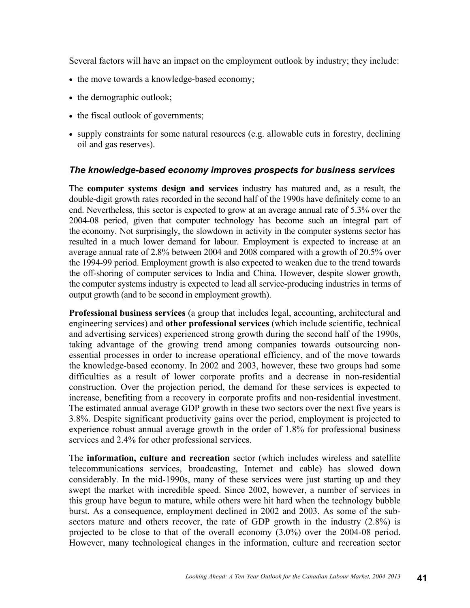Several factors will have an impact on the employment outlook by industry; they include:

- the move towards a knowledge-based economy;
- the demographic outlook;
- the fiscal outlook of governments;
- supply constraints for some natural resources (e.g. allowable cuts in forestry, declining oil and gas reserves).

#### *The knowledge-based economy improves prospects for business services*

The **computer systems design and services** industry has matured and, as a result, the double-digit growth rates recorded in the second half of the 1990s have definitely come to an end. Nevertheless, this sector is expected to grow at an average annual rate of 5.3% over the 2004-08 period, given that computer technology has become such an integral part of the economy. Not surprisingly, the slowdown in activity in the computer systems sector has resulted in a much lower demand for labour. Employment is expected to increase at an average annual rate of 2.8% between 2004 and 2008 compared with a growth of 20.5% over the 1994-99 period. Employment growth is also expected to weaken due to the trend towards the off-shoring of computer services to India and China. However, despite slower growth, the computer systems industry is expected to lead all service-producing industries in terms of output growth (and to be second in employment growth).

**Professional business services** (a group that includes legal, accounting, architectural and engineering services) and **other professional services** (which include scientific, technical and advertising services) experienced strong growth during the second half of the 1990s, taking advantage of the growing trend among companies towards outsourcing nonessential processes in order to increase operational efficiency, and of the move towards the knowledge-based economy. In 2002 and 2003, however, these two groups had some difficulties as a result of lower corporate profits and a decrease in non-residential construction. Over the projection period, the demand for these services is expected to increase, benefiting from a recovery in corporate profits and non-residential investment. The estimated annual average GDP growth in these two sectors over the next five years is 3.8%. Despite significant productivity gains over the period, employment is projected to experience robust annual average growth in the order of 1.8% for professional business services and 2.4% for other professional services.

The **information, culture and recreation** sector (which includes wireless and satellite telecommunications services, broadcasting, Internet and cable) has slowed down considerably. In the mid-1990s, many of these services were just starting up and they swept the market with incredible speed. Since 2002, however, a number of services in this group have begun to mature, while others were hit hard when the technology bubble burst. As a consequence, employment declined in 2002 and 2003. As some of the subsectors mature and others recover, the rate of GDP growth in the industry  $(2.8\%)$  is projected to be close to that of the overall economy (3.0%) over the 2004-08 period. However, many technological changes in the information, culture and recreation sector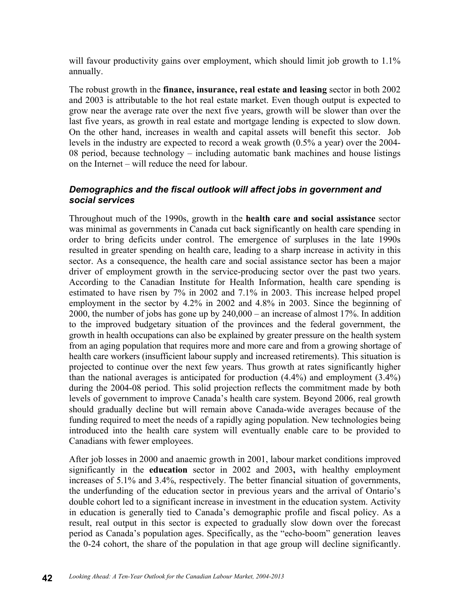will favour productivity gains over employment, which should limit job growth to 1.1% annually.

The robust growth in the **finance, insurance, real estate and leasing** sector in both 2002 and 2003 is attributable to the hot real estate market. Even though output is expected to grow near the average rate over the next five years, growth will be slower than over the last five years, as growth in real estate and mortgage lending is expected to slow down. On the other hand, increases in wealth and capital assets will benefit this sector. Job levels in the industry are expected to record a weak growth (0.5% a year) over the 2004- 08 period, because technology – including automatic bank machines and house listings on the Internet – will reduce the need for labour.

#### *Demographics and the fiscal outlook will affect jobs in government and social services*

Throughout much of the 1990s, growth in the **health care and social assistance** sector was minimal as governments in Canada cut back significantly on health care spending in order to bring deficits under control. The emergence of surpluses in the late 1990s resulted in greater spending on health care, leading to a sharp increase in activity in this sector. As a consequence, the health care and social assistance sector has been a major driver of employment growth in the service-producing sector over the past two years. According to the Canadian Institute for Health Information, health care spending is estimated to have risen by 7% in 2002 and 7.1% in 2003. This increase helped propel employment in the sector by 4.2% in 2002 and 4.8% in 2003. Since the beginning of 2000, the number of jobs has gone up by 240,000 – an increase of almost 17%. In addition to the improved budgetary situation of the provinces and the federal government, the growth in health occupations can also be explained by greater pressure on the health system from an aging population that requires more and more care and from a growing shortage of health care workers (insufficient labour supply and increased retirements). This situation is projected to continue over the next few years. Thus growth at rates significantly higher than the national averages is anticipated for production (4.4%) and employment (3.4%) during the 2004-08 period. This solid projection reflects the commitment made by both levels of government to improve Canada's health care system. Beyond 2006, real growth should gradually decline but will remain above Canada-wide averages because of the funding required to meet the needs of a rapidly aging population. New technologies being introduced into the health care system will eventually enable care to be provided to Canadians with fewer employees.

After job losses in 2000 and anaemic growth in 2001, labour market conditions improved significantly in the **education** sector in 2002 and 2003**,** with healthy employment increases of 5.1% and 3.4%, respectively. The better financial situation of governments, the underfunding of the education sector in previous years and the arrival of Ontario's double cohort led to a significant increase in investment in the education system. Activity in education is generally tied to Canada's demographic profile and fiscal policy. As a result, real output in this sector is expected to gradually slow down over the forecast period as Canada's population ages. Specifically, as the "echo-boom" generation leaves the 0-24 cohort, the share of the population in that age group will decline significantly.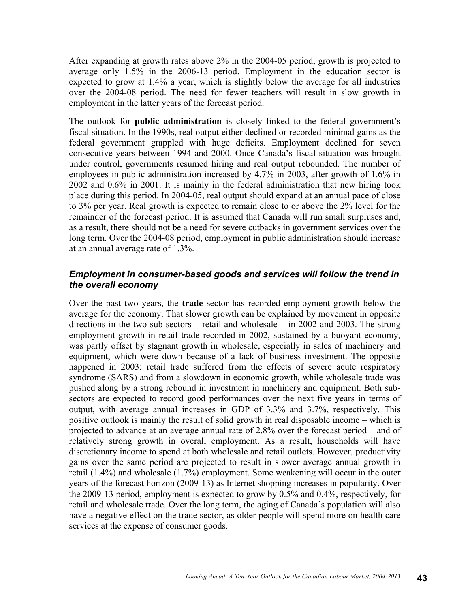After expanding at growth rates above 2% in the 2004-05 period, growth is projected to average only 1.5% in the 2006-13 period. Employment in the education sector is expected to grow at 1.4% a year, which is slightly below the average for all industries over the 2004-08 period. The need for fewer teachers will result in slow growth in employment in the latter years of the forecast period.

The outlook for **public administration** is closely linked to the federal government's fiscal situation. In the 1990s, real output either declined or recorded minimal gains as the federal government grappled with huge deficits. Employment declined for seven consecutive years between 1994 and 2000. Once Canada's fiscal situation was brought under control, governments resumed hiring and real output rebounded. The number of employees in public administration increased by 4.7% in 2003, after growth of 1.6% in 2002 and 0.6% in 2001. It is mainly in the federal administration that new hiring took place during this period. In 2004-05, real output should expand at an annual pace of close to 3% per year. Real growth is expected to remain close to or above the 2% level for the remainder of the forecast period. It is assumed that Canada will run small surpluses and, as a result, there should not be a need for severe cutbacks in government services over the long term. Over the 2004-08 period, employment in public administration should increase at an annual average rate of 1.3%.

#### *Employment in consumer-based goods and services will follow the trend in the overall economy*

Over the past two years, the **trade** sector has recorded employment growth below the average for the economy. That slower growth can be explained by movement in opposite directions in the two sub-sectors – retail and wholesale – in 2002 and 2003. The strong employment growth in retail trade recorded in 2002, sustained by a buoyant economy, was partly offset by stagnant growth in wholesale, especially in sales of machinery and equipment, which were down because of a lack of business investment. The opposite happened in 2003: retail trade suffered from the effects of severe acute respiratory syndrome (SARS) and from a slowdown in economic growth, while wholesale trade was pushed along by a strong rebound in investment in machinery and equipment. Both subsectors are expected to record good performances over the next five years in terms of output, with average annual increases in GDP of 3.3% and 3.7%, respectively. This positive outlook is mainly the result of solid growth in real disposable income – which is projected to advance at an average annual rate of 2.8% over the forecast period – and of relatively strong growth in overall employment. As a result, households will have discretionary income to spend at both wholesale and retail outlets. However, productivity gains over the same period are projected to result in slower average annual growth in retail (1.4%) and wholesale (1.7%) employment. Some weakening will occur in the outer years of the forecast horizon (2009-13) as Internet shopping increases in popularity. Over the 2009-13 period, employment is expected to grow by 0.5% and 0.4%, respectively, for retail and wholesale trade. Over the long term, the aging of Canada's population will also have a negative effect on the trade sector, as older people will spend more on health care services at the expense of consumer goods.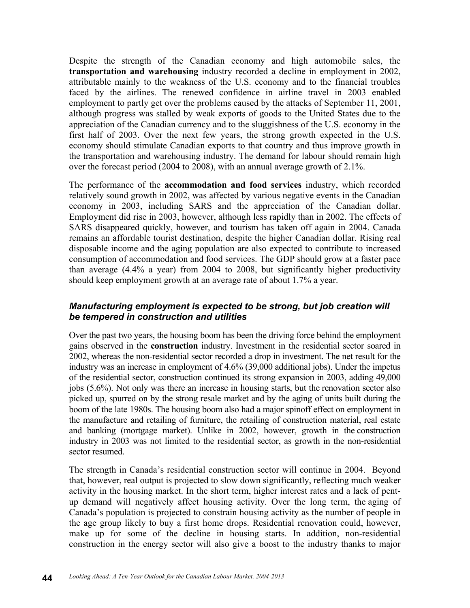Despite the strength of the Canadian economy and high automobile sales, the **transportation and warehousing** industry recorded a decline in employment in 2002, attributable mainly to the weakness of the U.S. economy and to the financial troubles faced by the airlines. The renewed confidence in airline travel in 2003 enabled employment to partly get over the problems caused by the attacks of September 11, 2001, although progress was stalled by weak exports of goods to the United States due to the appreciation of the Canadian currency and to the sluggishness of the U.S. economy in the first half of 2003. Over the next few years, the strong growth expected in the U.S. economy should stimulate Canadian exports to that country and thus improve growth in the transportation and warehousing industry. The demand for labour should remain high over the forecast period (2004 to 2008), with an annual average growth of 2.1%.

The performance of the **accommodation and food services** industry, which recorded relatively sound growth in 2002, was affected by various negative events in the Canadian economy in 2003, including SARS and the appreciation of the Canadian dollar. Employment did rise in 2003, however, although less rapidly than in 2002. The effects of SARS disappeared quickly, however, and tourism has taken off again in 2004. Canada remains an affordable tourist destination, despite the higher Canadian dollar. Rising real disposable income and the aging population are also expected to contribute to increased consumption of accommodation and food services. The GDP should grow at a faster pace than average (4.4% a year) from 2004 to 2008, but significantly higher productivity should keep employment growth at an average rate of about 1.7% a year.

#### *Manufacturing employment is expected to be strong, but job creation will be tempered in construction and utilities*

Over the past two years, the housing boom has been the driving force behind the employment gains observed in the **construction** industry. Investment in the residential sector soared in 2002, whereas the non-residential sector recorded a drop in investment. The net result for the industry was an increase in employment of 4.6% (39,000 additional jobs). Under the impetus of the residential sector, construction continued its strong expansion in 2003, adding 49,000 jobs (5.6%). Not only was there an increase in housing starts, but the renovation sector also picked up, spurred on by the strong resale market and by the aging of units built during the boom of the late 1980s. The housing boom also had a major spinoff effect on employment in the manufacture and retailing of furniture, the retailing of construction material, real estate and banking (mortgage market). Unlike in 2002, however, growth in the construction industry in 2003 was not limited to the residential sector, as growth in the non-residential sector resumed.

The strength in Canada's residential construction sector will continue in 2004. Beyond that, however, real output is projected to slow down significantly, reflecting much weaker activity in the housing market. In the short term, higher interest rates and a lack of pentup demand will negatively affect housing activity. Over the long term, the aging of Canada's population is projected to constrain housing activity as the number of people in the age group likely to buy a first home drops. Residential renovation could, however, make up for some of the decline in housing starts. In addition, non-residential construction in the energy sector will also give a boost to the industry thanks to major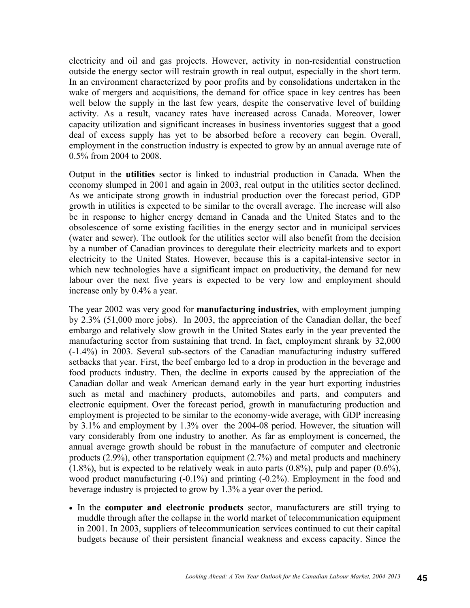electricity and oil and gas projects. However, activity in non-residential construction outside the energy sector will restrain growth in real output, especially in the short term. In an environment characterized by poor profits and by consolidations undertaken in the wake of mergers and acquisitions, the demand for office space in key centres has been well below the supply in the last few years, despite the conservative level of building activity. As a result, vacancy rates have increased across Canada. Moreover, lower capacity utilization and significant increases in business inventories suggest that a good deal of excess supply has yet to be absorbed before a recovery can begin. Overall, employment in the construction industry is expected to grow by an annual average rate of 0.5% from 2004 to 2008.

Output in the **utilities** sector is linked to industrial production in Canada. When the economy slumped in 2001 and again in 2003, real output in the utilities sector declined. As we anticipate strong growth in industrial production over the forecast period, GDP growth in utilities is expected to be similar to the overall average. The increase will also be in response to higher energy demand in Canada and the United States and to the obsolescence of some existing facilities in the energy sector and in municipal services (water and sewer). The outlook for the utilities sector will also benefit from the decision by a number of Canadian provinces to deregulate their electricity markets and to export electricity to the United States. However, because this is a capital-intensive sector in which new technologies have a significant impact on productivity, the demand for new labour over the next five years is expected to be very low and employment should increase only by 0.4% a year.

The year 2002 was very good for **manufacturing industries**, with employment jumping by 2.3% (51,000 more jobs). In 2003, the appreciation of the Canadian dollar, the beef embargo and relatively slow growth in the United States early in the year prevented the manufacturing sector from sustaining that trend. In fact, employment shrank by 32,000 (-1.4%) in 2003. Several sub-sectors of the Canadian manufacturing industry suffered setbacks that year. First, the beef embargo led to a drop in production in the beverage and food products industry. Then, the decline in exports caused by the appreciation of the Canadian dollar and weak American demand early in the year hurt exporting industries such as metal and machinery products, automobiles and parts, and computers and electronic equipment. Over the forecast period, growth in manufacturing production and employment is projected to be similar to the economy-wide average, with GDP increasing by 3.1% and employment by 1.3% over the 2004-08 period. However, the situation will vary considerably from one industry to another. As far as employment is concerned, the annual average growth should be robust in the manufacture of computer and electronic products (2.9%), other transportation equipment (2.7%) and metal products and machinery  $(1.8\%)$ , but is expected to be relatively weak in auto parts  $(0.8\%)$ , pulp and paper  $(0.6\%)$ , wood product manufacturing (-0.1%) and printing (-0.2%). Employment in the food and beverage industry is projected to grow by 1.3% a year over the period.

• In the **computer and electronic products** sector, manufacturers are still trying to muddle through after the collapse in the world market of telecommunication equipment in 2001. In 2003, suppliers of telecommunication services continued to cut their capital budgets because of their persistent financial weakness and excess capacity. Since the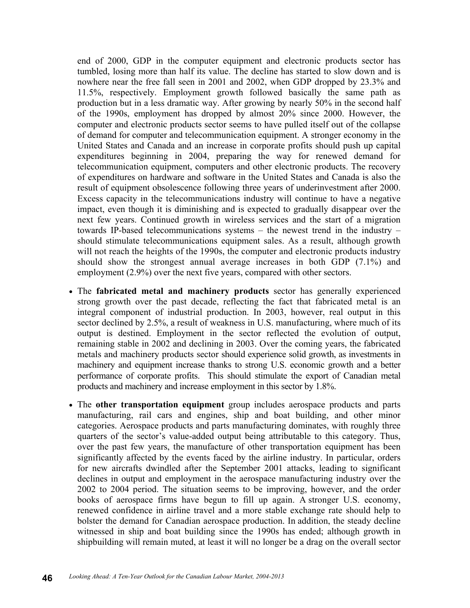end of 2000, GDP in the computer equipment and electronic products sector has tumbled, losing more than half its value. The decline has started to slow down and is nowhere near the free fall seen in 2001 and 2002, when GDP dropped by 23.3% and 11.5%, respectively. Employment growth followed basically the same path as production but in a less dramatic way. After growing by nearly 50% in the second half of the 1990s, employment has dropped by almost 20% since 2000. However, the computer and electronic products sector seems to have pulled itself out of the collapse of demand for computer and telecommunication equipment. A stronger economy in the United States and Canada and an increase in corporate profits should push up capital expenditures beginning in 2004, preparing the way for renewed demand for telecommunication equipment, computers and other electronic products. The recovery of expenditures on hardware and software in the United States and Canada is also the result of equipment obsolescence following three years of underinvestment after 2000. Excess capacity in the telecommunications industry will continue to have a negative impact, even though it is diminishing and is expected to gradually disappear over the next few years. Continued growth in wireless services and the start of a migration towards IP-based telecommunications systems – the newest trend in the industry – should stimulate telecommunications equipment sales. As a result, although growth will not reach the heights of the 1990s, the computer and electronic products industry should show the strongest annual average increases in both GDP (7.1%) and employment (2.9%) over the next five years, compared with other sectors.

- The **fabricated metal and machinery products** sector has generally experienced strong growth over the past decade, reflecting the fact that fabricated metal is an integral component of industrial production. In 2003, however, real output in this sector declined by 2.5%, a result of weakness in U.S. manufacturing, where much of its output is destined. Employment in the sector reflected the evolution of output, remaining stable in 2002 and declining in 2003. Over the coming years, the fabricated metals and machinery products sector should experience solid growth, as investments in machinery and equipment increase thanks to strong U.S. economic growth and a better performance of corporate profits. This should stimulate the export of Canadian metal products and machinery and increase employment in this sector by 1.8%.
- The **other transportation equipment** group includes aerospace products and parts manufacturing, rail cars and engines, ship and boat building, and other minor categories. Aerospace products and parts manufacturing dominates, with roughly three quarters of the sector's value-added output being attributable to this category. Thus, over the past few years, the manufacture of other transportation equipment has been significantly affected by the events faced by the airline industry. In particular, orders for new aircrafts dwindled after the September 2001 attacks, leading to significant declines in output and employment in the aerospace manufacturing industry over the 2002 to 2004 period. The situation seems to be improving, however, and the order books of aerospace firms have begun to fill up again. A stronger U.S. economy, renewed confidence in airline travel and a more stable exchange rate should help to bolster the demand for Canadian aerospace production. In addition, the steady decline witnessed in ship and boat building since the 1990s has ended; although growth in shipbuilding will remain muted, at least it will no longer be a drag on the overall sector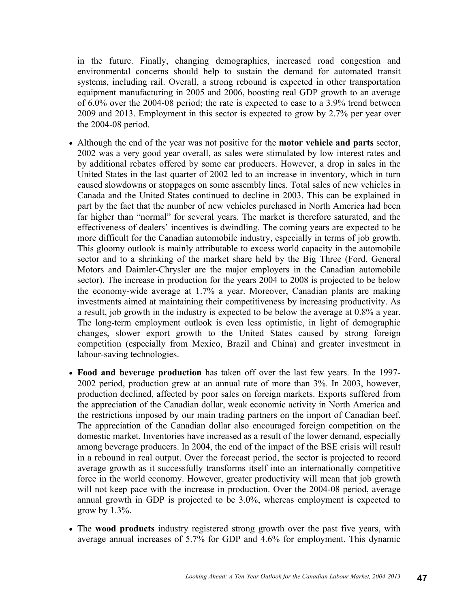in the future. Finally, changing demographics, increased road congestion and environmental concerns should help to sustain the demand for automated transit systems, including rail. Overall, a strong rebound is expected in other transportation equipment manufacturing in 2005 and 2006, boosting real GDP growth to an average of 6.0% over the 2004-08 period; the rate is expected to ease to a 3.9% trend between 2009 and 2013. Employment in this sector is expected to grow by 2.7% per year over the 2004-08 period.

- Although the end of the year was not positive for the **motor vehicle and parts** sector, 2002 was a very good year overall, as sales were stimulated by low interest rates and by additional rebates offered by some car producers. However, a drop in sales in the United States in the last quarter of 2002 led to an increase in inventory, which in turn caused slowdowns or stoppages on some assembly lines. Total sales of new vehicles in Canada and the United States continued to decline in 2003. This can be explained in part by the fact that the number of new vehicles purchased in North America had been far higher than "normal" for several years. The market is therefore saturated, and the effectiveness of dealers' incentives is dwindling. The coming years are expected to be more difficult for the Canadian automobile industry, especially in terms of job growth. This gloomy outlook is mainly attributable to excess world capacity in the automobile sector and to a shrinking of the market share held by the Big Three (Ford, General Motors and Daimler-Chrysler are the major employers in the Canadian automobile sector). The increase in production for the years 2004 to 2008 is projected to be below the economy-wide average at 1.7% a year. Moreover, Canadian plants are making investments aimed at maintaining their competitiveness by increasing productivity. As a result, job growth in the industry is expected to be below the average at 0.8% a year. The long-term employment outlook is even less optimistic, in light of demographic changes, slower export growth to the United States caused by strong foreign competition (especially from Mexico, Brazil and China) and greater investment in labour-saving technologies.
- **Food and beverage production** has taken off over the last few years. In the 1997- 2002 period, production grew at an annual rate of more than 3%. In 2003, however, production declined, affected by poor sales on foreign markets. Exports suffered from the appreciation of the Canadian dollar, weak economic activity in North America and the restrictions imposed by our main trading partners on the import of Canadian beef. The appreciation of the Canadian dollar also encouraged foreign competition on the domestic market. Inventories have increased as a result of the lower demand, especially among beverage producers. In 2004, the end of the impact of the BSE crisis will result in a rebound in real output. Over the forecast period, the sector is projected to record average growth as it successfully transforms itself into an internationally competitive force in the world economy. However, greater productivity will mean that job growth will not keep pace with the increase in production. Over the 2004-08 period, average annual growth in GDP is projected to be 3.0%, whereas employment is expected to grow by  $1.3\%$ .
- The **wood products** industry registered strong growth over the past five years, with average annual increases of 5.7% for GDP and 4.6% for employment. This dynamic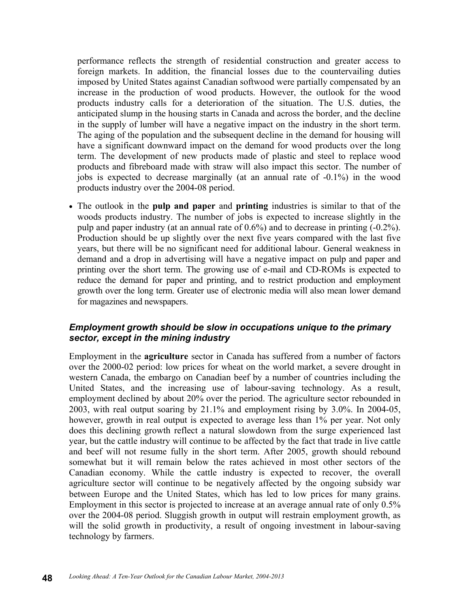performance reflects the strength of residential construction and greater access to foreign markets. In addition, the financial losses due to the countervailing duties imposed by United States against Canadian softwood were partially compensated by an increase in the production of wood products. However, the outlook for the wood products industry calls for a deterioration of the situation. The U.S. duties, the anticipated slump in the housing starts in Canada and across the border, and the decline in the supply of lumber will have a negative impact on the industry in the short term. The aging of the population and the subsequent decline in the demand for housing will have a significant downward impact on the demand for wood products over the long term. The development of new products made of plastic and steel to replace wood products and fibreboard made with straw will also impact this sector. The number of jobs is expected to decrease marginally (at an annual rate of -0.1%) in the wood products industry over the 2004-08 period.

• The outlook in the **pulp and paper** and **printing** industries is similar to that of the woods products industry. The number of jobs is expected to increase slightly in the pulp and paper industry (at an annual rate of 0.6%) and to decrease in printing (-0.2%). Production should be up slightly over the next five years compared with the last five years, but there will be no significant need for additional labour. General weakness in demand and a drop in advertising will have a negative impact on pulp and paper and printing over the short term. The growing use of e-mail and CD-ROMs is expected to reduce the demand for paper and printing, and to restrict production and employment growth over the long term. Greater use of electronic media will also mean lower demand for magazines and newspapers.

#### *Employment growth should be slow in occupations unique to the primary sector, except in the mining industry*

Employment in the **agriculture** sector in Canada has suffered from a number of factors over the 2000-02 period: low prices for wheat on the world market, a severe drought in western Canada, the embargo on Canadian beef by a number of countries including the United States, and the increasing use of labour-saving technology. As a result, employment declined by about 20% over the period. The agriculture sector rebounded in 2003, with real output soaring by 21.1% and employment rising by 3.0%. In 2004-05, however, growth in real output is expected to average less than 1% per year. Not only does this declining growth reflect a natural slowdown from the surge experienced last year, but the cattle industry will continue to be affected by the fact that trade in live cattle and beef will not resume fully in the short term. After 2005, growth should rebound somewhat but it will remain below the rates achieved in most other sectors of the Canadian economy. While the cattle industry is expected to recover, the overall agriculture sector will continue to be negatively affected by the ongoing subsidy war between Europe and the United States, which has led to low prices for many grains. Employment in this sector is projected to increase at an average annual rate of only 0.5% over the 2004-08 period. Sluggish growth in output will restrain employment growth, as will the solid growth in productivity, a result of ongoing investment in labour-saving technology by farmers.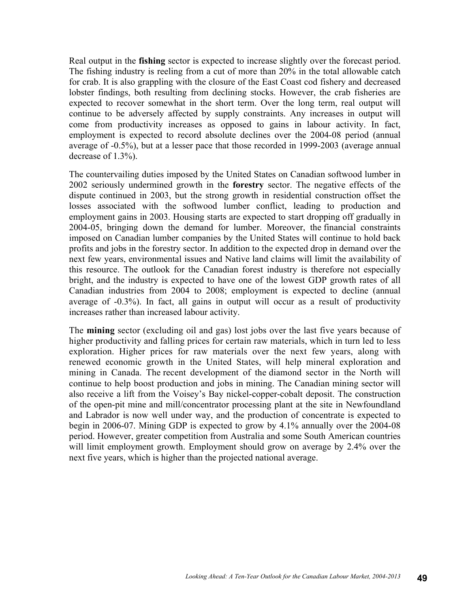Real output in the **fishing** sector is expected to increase slightly over the forecast period. The fishing industry is reeling from a cut of more than 20% in the total allowable catch for crab. It is also grappling with the closure of the East Coast cod fishery and decreased lobster findings, both resulting from declining stocks. However, the crab fisheries are expected to recover somewhat in the short term. Over the long term, real output will continue to be adversely affected by supply constraints. Any increases in output will come from productivity increases as opposed to gains in labour activity. In fact, employment is expected to record absolute declines over the 2004-08 period (annual average of -0.5%), but at a lesser pace that those recorded in 1999-2003 (average annual decrease of 1.3%).

The countervailing duties imposed by the United States on Canadian softwood lumber in 2002 seriously undermined growth in the **forestry** sector. The negative effects of the dispute continued in 2003, but the strong growth in residential construction offset the losses associated with the softwood lumber conflict, leading to production and employment gains in 2003. Housing starts are expected to start dropping off gradually in 2004-05, bringing down the demand for lumber. Moreover, the financial constraints imposed on Canadian lumber companies by the United States will continue to hold back profits and jobs in the forestry sector. In addition to the expected drop in demand over the next few years, environmental issues and Native land claims will limit the availability of this resource. The outlook for the Canadian forest industry is therefore not especially bright, and the industry is expected to have one of the lowest GDP growth rates of all Canadian industries from 2004 to 2008; employment is expected to decline (annual average of -0.3%). In fact, all gains in output will occur as a result of productivity increases rather than increased labour activity.

The **mining** sector (excluding oil and gas) lost jobs over the last five years because of higher productivity and falling prices for certain raw materials, which in turn led to less exploration. Higher prices for raw materials over the next few years, along with renewed economic growth in the United States, will help mineral exploration and mining in Canada. The recent development of the diamond sector in the North will continue to help boost production and jobs in mining. The Canadian mining sector will also receive a lift from the Voisey's Bay nickel-copper-cobalt deposit. The construction of the open-pit mine and mill/concentrator processing plant at the site in Newfoundland and Labrador is now well under way, and the production of concentrate is expected to begin in 2006-07. Mining GDP is expected to grow by 4.1% annually over the 2004-08 period. However, greater competition from Australia and some South American countries will limit employment growth. Employment should grow on average by 2.4% over the next five years, which is higher than the projected national average.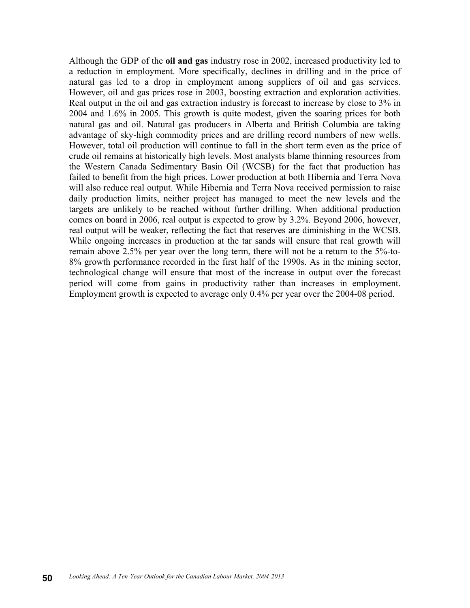Although the GDP of the **oil and gas** industry rose in 2002, increased productivity led to a reduction in employment. More specifically, declines in drilling and in the price of natural gas led to a drop in employment among suppliers of oil and gas services. However, oil and gas prices rose in 2003, boosting extraction and exploration activities. Real output in the oil and gas extraction industry is forecast to increase by close to 3% in 2004 and 1.6% in 2005. This growth is quite modest, given the soaring prices for both natural gas and oil. Natural gas producers in Alberta and British Columbia are taking advantage of sky-high commodity prices and are drilling record numbers of new wells. However, total oil production will continue to fall in the short term even as the price of crude oil remains at historically high levels. Most analysts blame thinning resources from the Western Canada Sedimentary Basin Oil (WCSB) for the fact that production has failed to benefit from the high prices. Lower production at both Hibernia and Terra Nova will also reduce real output. While Hibernia and Terra Nova received permission to raise daily production limits, neither project has managed to meet the new levels and the targets are unlikely to be reached without further drilling. When additional production comes on board in 2006, real output is expected to grow by 3.2%. Beyond 2006, however, real output will be weaker, reflecting the fact that reserves are diminishing in the WCSB. While ongoing increases in production at the tar sands will ensure that real growth will remain above 2.5% per year over the long term, there will not be a return to the 5%-to-8% growth performance recorded in the first half of the 1990s. As in the mining sector, technological change will ensure that most of the increase in output over the forecast period will come from gains in productivity rather than increases in employment. Employment growth is expected to average only 0.4% per year over the 2004-08 period.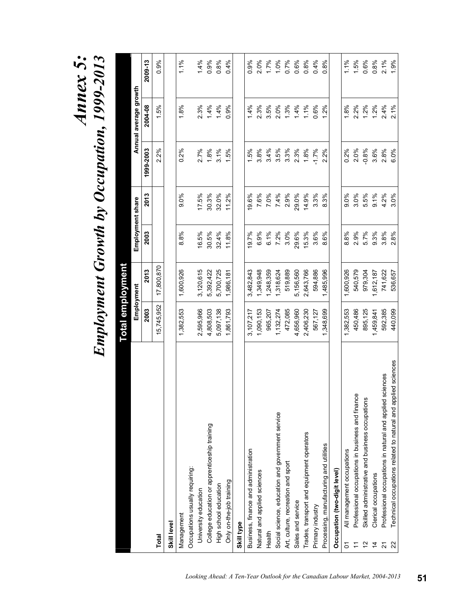# *Annex 5:*  Annoyment Growth by Occupation, 1999-2013 *Employment Growth by Occupation, 1999-2013*

|                                                                     |            | <u>Total employment</u> |       |                  |           |                       |         |
|---------------------------------------------------------------------|------------|-------------------------|-------|------------------|-----------|-----------------------|---------|
|                                                                     |            | Employment              |       | Employment share |           | Annual average growth |         |
|                                                                     | 2003       | 2013                    | 2003  | 2013             | 1999-2003 | 2004-08               | 2009-13 |
| Total                                                               | 15,745,952 | 17,800,870              |       |                  | 2.2%      | 1.5%                  | 0.9%    |
| Skill level                                                         |            |                         |       |                  |           |                       |         |
| Management                                                          | 1,382,553  | 1,600,926               | 8.8%  | 9.0%             | 0.2%      | 1.8%                  | 1.1%    |
| Occupations usually requiring:                                      |            |                         |       |                  |           |                       |         |
| University education                                                | 2,595,966  | 3,120,615               | 16.5% | 17.5%            | 2.7%      | 2.3%                  | 1.4%    |
| College education or apprenticeship training                        | 4,808,503  | 5,392,422               | 30.5% | 30.3%            | 1.8%      | 1.4%                  | 0.9%    |
| High school education                                               | 5,097,138  | 5,700,725               | 32.4% | 32.0%            | 3.1%      | 1.4%                  | 0.8%    |
| Only on-the-job training                                            | 1,861,793  | 1,986,181               | 11.8% | 11.2%            | 1.5%      | 0.9%                  | 0.4%    |
| Skill type                                                          |            |                         |       |                  |           |                       |         |
| Business, finance and administration                                | 3,107,217  | 3,482,843               | 19.7% | 19.6%            | 1.5%      | 1.4%                  | 0.9%    |
| Natural and applied sciences                                        | 1,090,153  | 1,349,948               | 6.9%  | 7.6%             | 3.8%      | 2.3%                  | 2.0%    |
| Health                                                              | 965,207    | 1,248,359               | 6.1%  | 7.0%             | 3.4%      | 3.5%                  | 1.7%    |
| Social science, education and government service                    | 1,132,274  | 1,318,624               | 7.2%  | 7.4%             | 3.5%      | 2.0%                  | 1.0%    |
| Art, culture, recreation and sport                                  | 472,085    | 519,889                 | 3.0%  | 2.9%             | 3.3%      | $1.3\%$               | 0.7%    |
| Sales and service                                                   | 4,656,960  | 5,156,560               | 29.6% | 29.0%            | 2.3%      | 1.4%                  | 0.6%    |
| Trades, transport and equipment operators                           | 2,406,230  | 2,643,766               | 15.3% | 14.9%            | 1.8%      | 1.1%                  | 0.8%    |
| Primary industry                                                    | 567,127    | 594,886                 | 3.6%  | 3.3%             | $-1.7%$   | 0.6%                  | 0.4%    |
| Processing, manufacturing and utilities                             | 1,348,699  | 1,485,996               | 8.6%  | 8.3%             | 2.2%      | 1.2%                  | 0.8%    |
| Occupation (two-digit level)                                        |            |                         |       |                  |           |                       |         |
| All management occupations<br>δ                                     | 1,382,553  | 1,600,926               | 8.8%  | $9.0\%$          | 0.2%      | 1.8%                  | 1.1%    |
| Professional occupations in business and finance<br>Ξ               | 450,486    | 540,579                 | 2.9%  | 3.0%             | 2.0%      | 2.2%                  | 1.5%    |
| Skilled administrative and business occupations<br>$\frac{1}{2}$    | 895,125    | 979,304                 | 5.7%  | 5.5%             | $-0.8%$   | 1.2%                  | 0.6%    |
| Clerical occupations<br>$\frac{4}{4}$                               | 1,459,841  | 1,612,187               | 9.3%  | 9.1%             | 3.6%      | 1.2%                  | 0.8%    |
| ciences<br>Professional occupations in natural and applied s<br>21  | 592,385    | 741,622                 | 3.8%  | 4.2%             | 2.8%      | 2.4%                  | 2.1%    |
| Technical occupations related to natural and applied sciences<br>22 | 440,099    | 536,657                 | 2.8%  | 3.0%             | 6.0%      | 2.1%                  | 1.9%    |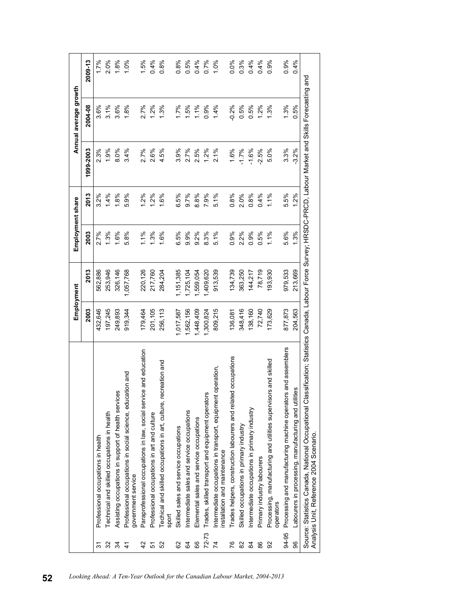|                |                                                                                                                                                                                                          |           | Employment |      | Employment share |           | Annual average growth |         |
|----------------|----------------------------------------------------------------------------------------------------------------------------------------------------------------------------------------------------------|-----------|------------|------|------------------|-----------|-----------------------|---------|
|                |                                                                                                                                                                                                          | 2003      | 2013       | 2003 | 2013             | 1999-2003 | 2004-08               | 2009-13 |
| 2              | Professional occupations in health                                                                                                                                                                       | 432,646   | 562,886    | 2.7% | 3.2%             | 2.3%      | 3.6%                  | 1.7%    |
| 32             | Fechnical and skilled occupations in health                                                                                                                                                              | 197,245   | 253,946    | 1.3% | 1.4%             | 1.9%      | 3.1%                  | 2.0%    |
| $\mathfrak{F}$ | Assisting occupations in support of health services                                                                                                                                                      | 249,893   | 326,146    | 1.6% | 1.8%             | 8.0%      | 3.6%                  | 1.8%    |
| 4              | Professional occupations in social science, education and<br>government service                                                                                                                          | 919,344   | 1,057,768  | 5.8% | 5.9%             | 3.4%      | 1.8%                  | 1.0%    |
| $\frac{2}{3}$  | Paraprofessional occupations in law, social service and education                                                                                                                                        | 179,464   | 220,126    | 1.1% | $1.2\%$          | 2.7%      | 2.7%                  | 1.5%    |
| 5              | Professional occupations in art and culture                                                                                                                                                              | 201,105   | 217,760    | 1.3% | 1.2%             | 2.6%      | 1.2%                  | 0.4%    |
| 52             | ecreation and<br>Techical and skilled occupations in art, culture,<br>sport                                                                                                                              | 256,113   | 284,204    | 1.6% | 1.6%             | 4.5%      | 1.3%                  | 0.8%    |
| 82             | Skilled sales and service occupations                                                                                                                                                                    | 1,017,587 | 1,151,385  | 6.5% | 6.5%             | 3.9%      | 1.7%                  | 0.8%    |
| 3              | ntermediate sales and service occupations                                                                                                                                                                | 1,562,156 | 1,725,104  | 9.9% | 9.7%             | 2.7%      | 1.5%                  | 0.5%    |
| 66             | Elemental sales and service occupations                                                                                                                                                                  | 1,448,409 | 1,559,054  | 9.2% | 8.8%             | 2.5%      | 1.1%                  | 0.4%    |
| $72 - 73$      | Trades, skilled transport and equipment operators                                                                                                                                                        | 1,300,824 | 1,409,620  | 8.3% | 7.9%             | $1.2\%$   | 0.9%                  | 0.7%    |
| 74             | Intermediate occupations in transport, equipment operation,<br>installation and maintenance                                                                                                              | 809,215   | 913,539    | 5.1% | 5.1%             | 2.1%      | 1.4%                  | 1.0%    |
| 76             | ted occupations<br>Trades helpers, construction labourers and relat                                                                                                                                      | 136,081   | 134,739    | 0.9% | 0.8%             | 1.6%      | $-0.2%$               | 0.0%    |
| 82             | Skilled occupations in primary industry                                                                                                                                                                  | 348,416   | 363,250    | 2.2% | 2.0%             | $-1.7%$   | 0.5%                  | 0.3%    |
| $\mathfrak{A}$ | ntermediate occupations in primary industry                                                                                                                                                              | 138,160   | 144,217    | 0.9% | 0.8%             | $-1.6%$   | 0.5%                  | 0.4%    |
| 88             | Primary industry labourers                                                                                                                                                                               | 72,740    | 78,719     | 0.5% | 0.4%             | $-2.5%$   | 1.2%                  | 0.4%    |
| 92             | Processing, manufacturing and utilities supervisors and skilled<br>operators                                                                                                                             | 173,629   | 93,930     | 1.1% | 1.1%             | 5.0%      | 1.3%                  | 0.9%    |
| 94-95          | irs and assemblers<br>Processing and manufacturing machine operato                                                                                                                                       | 877,873   | 979,533    | 5.6% | 5.5%             | 3.3%      | 1.3%                  | 0.9%    |
| 96             | Labourers in processing, manufacturing and utilities                                                                                                                                                     | 204,563   | 213,669    | 1.3% | 1.2%             | $-3.2%$   | 0.5%                  | 0.4%    |
|                | Source: Statistics Canada, National Occupational Classification; Statistics Canada, Labour Force Survey; HRSDC-PRCD, Labour Market and Skills Forecasting and<br>Analysis Unit, Reference 2004 Scenario. |           |            |      |                  |           |                       |         |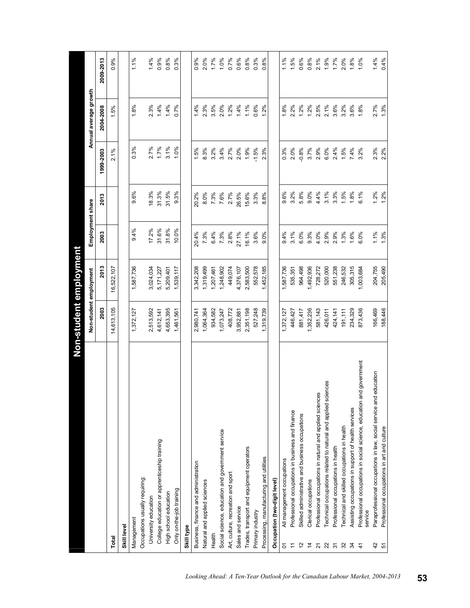|                |                                                                                 | Non-student employment |            |                  |         |           |                       |           |
|----------------|---------------------------------------------------------------------------------|------------------------|------------|------------------|---------|-----------|-----------------------|-----------|
|                |                                                                                 | Non-student employment |            | Employment share |         |           | Annual average growth |           |
|                |                                                                                 | 2003                   | 2013       | 2003             | 2013    | 1999-2003 | 2004-2008             | 2009-2013 |
| Total          |                                                                                 | 14,613,105             | 16,522,107 |                  |         | 2.1%      | 1.5%                  | 0.9%      |
| Skill level    |                                                                                 |                        |            |                  |         |           |                       |           |
|                | Management                                                                      | 1,372,127              | 1,587,736  | 9.4%             | 9.6%    | 0.3%      | 1.8%                  | 1.1%      |
|                | Occupations usually requiring:                                                  |                        |            |                  |         |           |                       |           |
|                | University education                                                            | 2,513,592              | 3,024,034  | 17.2%            | 18.3%   | 2.7%      | 2.3%                  | 1.4%      |
|                | College education or apprenticeship training                                    | 4,612,141              | 5,171,227  | 31.6%            | 31.3%   | 1.7%      | 1.4%                  | 0.9%      |
|                | High school education                                                           | 4,653,395              | 5,209,401  | 31.8%            | 31.5%   | 3.1%      | 1.4%                  | 0.8%      |
|                | Only on-the-job training                                                        | 1,461,561              | 1,539,117  | 10.0%            | 9.3%    | 1.0%      | 0.7%                  | 0.3%      |
| Skill type     |                                                                                 |                        |            |                  |         |           |                       |           |
|                | Business, finance and administration                                            | 2,980,741              | 3,342,208  | 20.4%            | 20.2%   | 1.5%      | 1.4%                  | 0.9%      |
|                | Natural and applied sciences                                                    | 1,064,364              | ,319,499   | 7.3%             | 8.0%    | 8.3%      | 2.3%                  | 2.0%      |
| Health         |                                                                                 | 934,582                | ,207,461   | 6.4%             | $7.3\%$ | 3.2%      | 3.5%                  | 1.7%      |
|                | Social science, education and government service                                | 1,073,247              | ,248,902   | 7.3%             | 7.6%    | 3.4%      | 2.0%                  | 1.0%      |
|                | Art, culture, recreation and sport                                              | 408,772                | 449,074    | 2.8%             | 2.7%    | 2.7%      | $1.2\%$               | 0.7%      |
|                | Sales and service                                                               | 3,952,881              | 4,376,107  | 27.1%            | 26.5%   | 2.0%      | 1.4%                  | 0.6%      |
|                | Trades, transport and equipment operators                                       | 2,351,198              | 2,583,500  | 16.1%            | 15.6%   | 1.9%      | 1.1%                  | 0.8%      |
|                | Primary industry                                                                | 527,248                | 552,578    | 3.6%             | 3.3%    | $-1.5%$   | 0.6%                  | $0.3\%$   |
|                | Processing, manufacturing and utilities                                         | 1,319,739              | 1,452,185  | 9.0%             | 8.8%    | 2.3%      | $1.2\%$               | 0.8%      |
|                | Occupation (two-digit level)                                                    |                        |            |                  |         |           |                       |           |
| δ              | All management occupations                                                      | 1,372,127              | 1,587,736  | 9.4%             | 9.6%    | 0.3%      | 1.8%                  | 1.1%      |
| Ξ              | Professional occupations in business and finance                                | 446,427                | 535,351    | 3.1%             | 3.2%    | 2.0%      | 2.2%                  | 1.5%      |
| $\frac{2}{3}$  | Skilled administrative and business occupations                                 | 881,417                | 964,498    | 6.0%             | 5.8%    | $-0.8%$   | 1.2%                  | 0.6%      |
| $\frac{4}{3}$  | Clerical occupations                                                            | 1,352,236              | 1,492,936  | $9.3\%$          | 9.0%    | 3.7%      | $1.2\%$               | 0.8%      |
| $\overline{2}$ | Professional occupations in natural and applied sciences                        | 581, 143               | 728,272    | 4.0%             | 4.4%    | 2.9%      | 2.5%                  | $2.1\%$   |
| 22             | Technical occupations related to natural and applied sciences                   | 426,011                | 520,000    | 2.9%             | 3.1%    | 6.0%      | 2.1%                  | 1.9%      |
| $\overline{5}$ | Professional occupations in health                                              | 424,141                | 551,238    | 2.9%             | 3.3%    | 2.4%      | 3.6%                  | 1.7%      |
| 32             | Technical and skilled occupations in health                                     | 191, 111               | 246,532    | 1.3%             | $1.5\%$ | $1.5\%$   | 3.2%                  | 2.0%      |
| 34             | Assisting occupations in support of health services                             | 234,329                | 305,315    | 1.6%             | 1.8%    | 7.4%      | 3.6%                  | 1.8%      |
| $\frac{4}{5}$  | Professional occupations in social science, education and government<br>service | 873,436                | 1,003,684  | 6.0%             | 6.1%    | 3.2%      | 1.8%                  | 1.0%      |
| 42             | education<br>Paraprofessional occupations in law, social service and            | 166,469                | 204,755    | 1.1%             | 1.2%    | 2.3%      | 2.7%                  | 1.4%      |
| 5              | Professional occupations in art and culture                                     | 188,446                | 205,490    | 1.3%             | 1.2%    | 2.2%      | 1.3%                  | 0.4%      |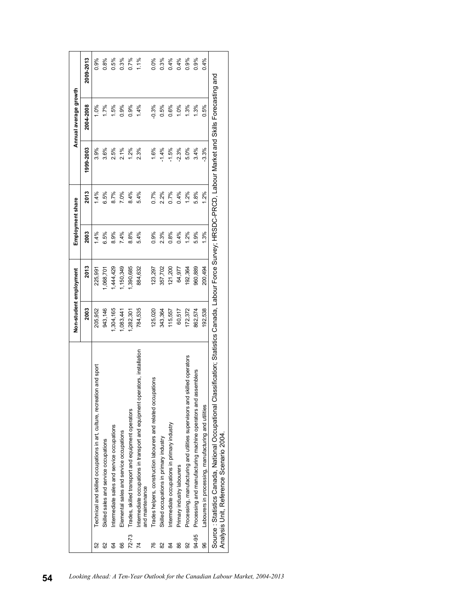|                |                                                                                                                                                                                             | Non-student employment |           |         | Employment share |           | Annual average growth |           |
|----------------|---------------------------------------------------------------------------------------------------------------------------------------------------------------------------------------------|------------------------|-----------|---------|------------------|-----------|-----------------------|-----------|
|                |                                                                                                                                                                                             | 2003                   | 2013      | 2003    | 2013             | 1999-2003 | 2004-2008             | 2009-2013 |
| 52             | ion and sport<br>Technical and skilled occupations in art, culture, recreat                                                                                                                 | 205,952                | 225,991   | 1.4%    | 4%               | 3.9%      | $-0\%$                | 0.9%      |
| 62             | Skilled sales and service occupations                                                                                                                                                       | 943,146                | 1,068,701 | 6.5%    | 6.5%             | 3.6%      | 1.7%                  | 0.8%      |
| 64             | Intermediate sales and service occupations                                                                                                                                                  | 1,304,165              | 1,444,429 | 8.9%    | 8.7%             | 2.5%      | 1.5%                  | 0.5%      |
| 66             | Elemental sales and service occupations                                                                                                                                                     | ,083,441               | ,150,349  | 7.4%    | 7.0%             | 2.1%      | 0.9%                  | 0.3%      |
| $72 - 73$      | Trades, skilled transport and equipment operators                                                                                                                                           | ,282,301               | 1,390,685 | 8.8%    | 8.4%             | $1.2\%$   | 0.9%                  | 0.7%      |
| 4              | perators, installation<br>Intermediate occupations in transport and equipment op<br>and maintenance                                                                                         | 784,535                | 884,632   | 5.4%    | 5.4%             | 2.3%      | 1.4%                  | $1.1\%$   |
| 76             | Trades helpers, construction labourers and related occupations                                                                                                                              | 125,020                | 123,297   | 0.9%    | 0.7%             | 1.6%      | $-0.3%$               | 0.0%      |
| 82             | Skilled occupations in primary industry                                                                                                                                                     | 343,364                | 357,702   | 2.3%    | 2.2%             | $-1.4%$   | 0.5%                  | $0.3\%$   |
| 84             | Intermediate occupations in primary industry                                                                                                                                                | 115,557                | 121,200   | 0.8%    | 0.7%             | $-1.5%$   | 0.6%                  | 0.4%      |
| 86             | Primary industry labourers                                                                                                                                                                  | 60,517                 | 64,977    | 0.4%    | 0.4%             | $-2.3%$   | 1.0%                  | 0.4%      |
| $\overline{9}$ | skilled operators<br>Processing, manufacturing and utilities supervisors and                                                                                                                | 172,372                | 192,364   | $1.2\%$ | 1.2%             | 5.0%      | $1.3\%$               | 0.9%      |
| 94-95          | assemblers<br>Processing and manufacturing machine operators and                                                                                                                            | 862,574                | 960,889   | 5.9%    | 5.8%             | 3.4%      | $\frac{3\%}{2}$       | 0.9%      |
| 96             | Labourers in processing, manufacturing and utilities                                                                                                                                        | 192,538                | 200,494   | 1.3%    | 1.2%             | $-3.3%$   | 0.5%                  | 0.4%      |
|                | Source : Statistics Canada, National Occupational Classification; Statistics Canada, Labour FRSDO-PRCD, Labour Market and Skills Forecasting and<br>Analysis Unit, Reference Scenario 2004. |                        |           |         |                  |           |                       |           |
|                |                                                                                                                                                                                             |                        |           |         |                  |           |                       |           |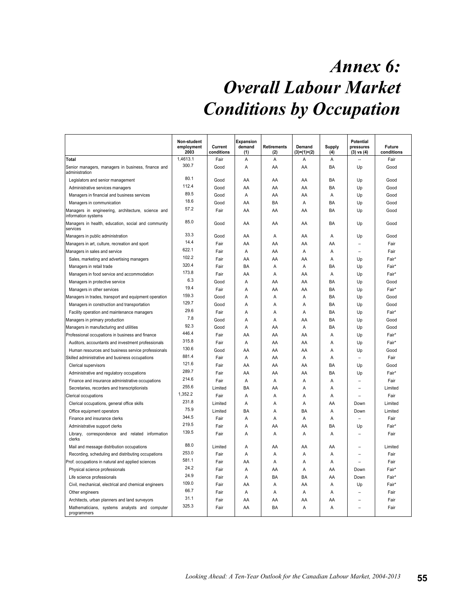# *Annex 6: Overall Labour Market Conditions by Occupation*

|                                                                           | Non-student<br>employment<br>2003 | Current<br>conditions | <b>Expansion</b><br>demand<br>(1) | Retirements<br>(2) | Demand<br>$(3)=(1)+(2)$ | <b>Supply</b><br>(4) | <b>Potential</b><br>pressures<br>$(3)$ vs $(4)$ | Future<br>conditions |
|---------------------------------------------------------------------------|-----------------------------------|-----------------------|-----------------------------------|--------------------|-------------------------|----------------------|-------------------------------------------------|----------------------|
| Total                                                                     | 1,4613.1                          | Fair                  | Α                                 | Α                  | Α                       | Α                    |                                                 | Fair                 |
| Senior managers, managers in business, finance and<br>administration      | 300.7                             | Good                  | A                                 | AA                 | AA                      | BA                   | Up                                              | Good                 |
| Legislators and senior management                                         | 80.1                              | Good                  | AA                                | AA                 | AA                      | BA                   | Up                                              | Good                 |
| Administrative services managers                                          | 112.4                             | Good                  | AA                                | AA                 | AA                      | BA                   | Up                                              | Good                 |
| Managers in financial and business services                               | 89.5                              | Good                  | Α                                 | AA                 | AA                      | A                    | Up                                              | Good                 |
| Managers in communication                                                 | 18.6                              | Good                  | AA                                | BA                 | A                       | <b>BA</b>            | Up                                              | Good                 |
| Managers in engineering, architecture, science and<br>information systems | 57.2                              | Fair                  | AA                                | AA                 | AA                      | <b>BA</b>            | Up                                              | Good                 |
| Managers in health, education, social and community<br>services           | 85.0                              | Good                  | AA                                | AA                 | AA                      | <b>BA</b>            | Up                                              | Good                 |
| Managers in public administration                                         | 33.3                              | Good                  | AA                                | A                  | AA                      | $\overline{A}$       | Up                                              | Good                 |
| Managers in art, culture, recreation and sport                            | 14.4                              | Fair                  | AA                                | AA                 | AA                      | AA                   |                                                 | Fair                 |
| Managers in sales and service                                             | 622.1                             | Fair                  | A                                 | AA                 | A                       | $\overline{A}$       |                                                 | Fair                 |
| Sales, marketing and advertising managers                                 | 102.2                             | Fair                  | AA                                | AA                 | AA                      | A                    | Up                                              | Fair*                |
| Managers in retail trade                                                  | 320.4                             | Fair                  | BA                                | A                  | A                       | BA                   | Up                                              | Fair*                |
| Managers in food service and accommodation                                | 173.8                             | Fair                  | AA                                | Α                  | AA                      | Α                    | Up                                              | Fair*                |
| Managers in protective service                                            | 6.3                               | Good                  | Α                                 | AA                 | AA                      | BA                   | Up                                              | Good                 |
| Managers in other services                                                | 19.4                              | Fair                  | Α                                 | AA                 | AA                      | BA                   | Up                                              | Fair*                |
| Managers in trades, transport and equipment operation                     | 159.3                             | Good                  | Α                                 | Α                  | Α                       | BA                   | Up                                              | Good                 |
| Managers in construction and transportation                               | 129.7                             | Good                  | Α                                 | A                  | Α                       | BA                   | Up                                              | Good                 |
| Facility operation and maintenance managers                               | 29.6                              | Fair                  | Α                                 | Α                  | Α                       | BA                   | Up                                              | Fair*                |
| Managers in primary production                                            | 7.8                               | Good                  | Α                                 | Α                  | AA                      | BA                   | Up                                              | Good                 |
| Managers in manufacturing and utilities                                   | 92.3                              | Good                  | A                                 | AA                 | A                       | BA                   | Up                                              | Good                 |
| Professional occupations in business and finance                          | 446.4                             | Fair                  | AA                                | AA                 | AA                      | A                    | Up                                              | Fair*                |
| Auditors, accountants and investment professionals                        | 315.8                             | Fair                  | A                                 | AA                 | AA                      | A                    | Up                                              | Fair*                |
| Human resources and business service professionals                        | 130.6                             | Good                  | AA                                | AA                 | AA                      | A                    | Up                                              | Good                 |
| Skilled administrative and business occupations                           | 881.4                             | Fair                  | A                                 | AA                 | A                       | $\overline{A}$       | $\overline{\phantom{0}}$                        | Fair                 |
| <b>Clerical supervisors</b>                                               | 121.6                             | Fair                  | AA                                | AA                 | AA                      | BA                   | Up                                              | Good                 |
| Administrative and regulatory occupations                                 | 289.7                             | Fair                  | AA                                | AA                 | AA                      | <b>BA</b>            | Up                                              | Fair*                |
| Finance and insurance administrative occupations                          | 214.6                             | Fair                  | Α                                 | Α                  | A                       | A                    |                                                 | Fair                 |
| Secretaries, recorders and transcriptionists                              | 255.6                             | Limited               | BA                                | AA                 | A                       | A                    |                                                 | Limited              |
| <b>Clerical occupations</b>                                               | 1,352.2                           | Fair                  | Α                                 | Α                  | A                       | Α                    |                                                 | Fair                 |
| Clerical occupations, general office skills                               | 231.8                             | Limited               | Α                                 | Α                  | Α                       | AA                   | Down                                            | Limited              |
| Office equipment operators                                                | 75.9                              | Limited               | BA                                | Α                  | BA                      | A                    | Down                                            | Limited              |
| Finance and insurance clerks                                              | 344.5                             | Fair                  | Α                                 | A                  | A                       | A                    | L.                                              | Fair                 |
| Administrative support clerks                                             | 219.5                             | Fair                  | Α                                 | AA                 | AA                      | BA                   | Up                                              | Fair*                |
| Library,<br>correspondence and related information<br>clerks              | 139.5                             | Fair                  | Α                                 | A                  | A                       | A                    |                                                 | Fair                 |
| Mail and message distribution occupations                                 | 88.0                              | Limited               | Α                                 | AA                 | AA                      | AA                   |                                                 | Limited              |
| Recording, scheduling and distributing occupations                        | 253.0                             | Fair                  | Α                                 | A                  | A                       | A                    |                                                 | Fair                 |
| Prof. occupations in natural and applied sciences                         | 581.1                             | Fair                  | AA                                | $\overline{A}$     | A                       | A                    |                                                 | Fair                 |
| Physical science professionals                                            | 24.2                              | Fair                  | A                                 | AA                 | A                       | AA                   | Down                                            | Fair*                |
| Life science professionals                                                | 24.9                              | Fair                  | A                                 | BA                 | <b>BA</b>               | AA                   | Down                                            | Fair*                |
| Civil, mechanical, electrical and chemical engineers                      | 109.0                             | Fair                  | AA                                | Α                  | AA                      | A                    | Up                                              | Fair*                |
| Other engineers                                                           | 66.7                              | Fair                  | Α                                 | A                  | A                       | A                    |                                                 | Fair                 |
| Architects, urban planners and land surveyors                             | 31.1                              | Fair                  | AA                                | AA                 | AA                      | AA                   |                                                 | Fair                 |
| Mathematicians, systems analysts and computer<br>programmers              | 325.3                             | Fair                  | AA                                | BA                 | Α                       | Α                    |                                                 | Fair                 |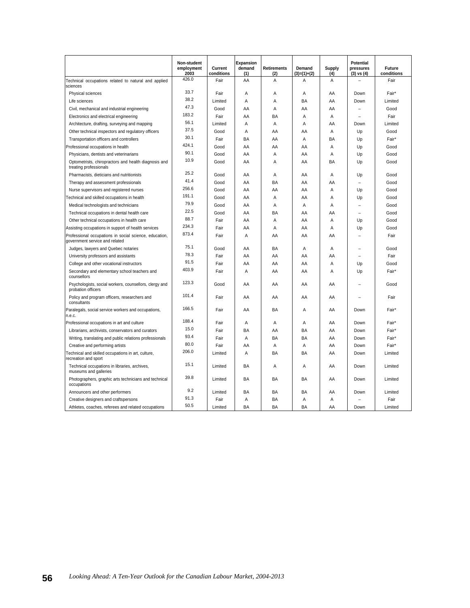|                                                                                          | Non-student<br>employment<br>2003 | Current<br>conditions | <b>Expansion</b><br>demand<br>(1) | <b>Retirements</b><br>(2) | Demand<br>$(3)=(1)+(2)$ | Supply<br>(4) | <b>Potential</b><br>pressures<br>$(3)$ vs $(4)$ | <b>Future</b><br>conditions |
|------------------------------------------------------------------------------------------|-----------------------------------|-----------------------|-----------------------------------|---------------------------|-------------------------|---------------|-------------------------------------------------|-----------------------------|
| Technical occupations related to natural and applied<br>sciences                         | 426.0                             | Fair                  | AA                                | A                         | A                       | A             |                                                 | Fair                        |
| Physical sciences                                                                        | 33.7                              | Fair                  | A                                 | Α                         | Α                       | AA            | Down                                            | Fair*                       |
| Life sciences                                                                            | 38.2                              | Limited               | Α                                 | Α                         | BA                      | AA            | Down                                            | Limited                     |
| Civil, mechanical and industrial engineering                                             | 47.3                              | Good                  | AA                                | Α                         | AA                      | AA            |                                                 | Good                        |
| Electronics and electrical engineering                                                   | 183.2                             | Fair                  | AA                                | BA                        | A                       | A             |                                                 | Fair                        |
| Architecture, drafting, surveying and mapping                                            | 56.1                              | Limited               | Α                                 | Α                         | Α                       | AA            | Down                                            | Limited                     |
| Other technical inspectors and regulatory officers                                       | 37.5                              | Good                  | A                                 | AA                        | AA                      | A             | Up                                              | Good                        |
| Transportation officers and controllers                                                  | 30.1                              | Fair                  | BA                                | AA                        | Α                       | BA            | Up                                              | Fair*                       |
| Professional occupations in health                                                       | 424.1                             | Good                  | AA                                | AA                        | AA                      | Α             | Up                                              | Good                        |
| Physicians, dentists and veterinarians                                                   | 90.1                              | Good                  | AA                                | A                         | AA                      | A             | Up                                              | Good                        |
| Optometrists, chiropractors and health diagnosis and<br>treating professionals           | 10.9                              | Good                  | AA                                | Α                         | AA                      | BA            | Up                                              | Good                        |
| Pharmacists, dieticians and nutritionists                                                | 25.2                              | Good                  | AA                                | Α                         | AA                      | A             | Up                                              | Good                        |
| Therapy and assessment professionals                                                     | 41.4                              | Good                  | AA                                | BA                        | AA                      | AA            |                                                 | Good                        |
| Nurse supervisors and registered nurses                                                  | 256.6                             | Good                  | AA                                | AA                        | AA                      | A             | Up                                              | Good                        |
| Technical and skilled occupations in health                                              | 191.1                             | Good                  | AA                                | A                         | AA                      | A             | Up                                              | Good                        |
| Medical technologists and technicians                                                    | 79.9                              | Good                  | AA                                | Α                         | Α                       | Α             |                                                 | Good                        |
| Technical occupations in dental health care                                              | 22.5                              | Good                  | AA                                | <b>BA</b>                 | AA                      | AA            |                                                 | Good                        |
| Other technical occupations in health care                                               | 88.7                              | Fair                  | AA                                | A                         | AA                      | A             | Up                                              | Good                        |
| Assisting occupations in support of health services                                      | 234.3                             | Fair                  | AA                                | A                         | AA                      | A             | Up                                              | Good                        |
| Professional occupations in social science, education,<br>government service and related | 873.4                             | Fair                  | A                                 | AA                        | AA                      | AA            |                                                 | Fair                        |
| Judges, lawyers and Quebec notaries                                                      | 75.1                              | Good                  | AA                                | <b>BA</b>                 | A                       | A             |                                                 | Good                        |
| University professors and assistants                                                     | 78.3                              | Fair                  | AA                                | AA                        | AA                      | AA            | $\overline{\phantom{a}}$                        | Fair                        |
| College and other vocational instructors                                                 | 91.5                              | Fair                  | AA                                | AA                        | AA                      | A             | Up                                              | Good                        |
| Secondary and elementary school teachers and<br>counsellors                              | 403.9                             | Fair                  | Α                                 | AA                        | AA                      | A             | Up                                              | Fair*                       |
| Psychologists, social workers, counsellors, clergy and<br>probation officers             | 123.3                             | Good                  | AA                                | AA                        | AA                      | AA            |                                                 | Good                        |
| Policy and program officers, researchers and<br>consultants                              | 101.4                             | Fair                  | AA                                | AA                        | AA                      | AA            |                                                 | Fair                        |
| Paralegals, social service workers and occupations,<br>n.e.c.                            | 166.5                             | Fair                  | AA                                | BA                        | A                       | AA            | Down                                            | Fair*                       |
| Professional occupations in art and culture                                              | 188.4                             | Fair                  | A                                 | Α                         | Α                       | AA            | Down                                            | Fair*                       |
| Librarians, archivists, conservators and curators                                        | 15.0                              | Fair                  | BA                                | AA                        | BA                      | AA            | Down                                            | Fair*                       |
| Writing, translating and public relations professionals                                  | 93.4                              | Fair                  | Α                                 | BA                        | BA                      | AA            | Down                                            | Fair*                       |
| Creative and performing artists                                                          | 80.0                              | Fair                  | AA                                | A                         | A                       | AA            | Down                                            | Fair*                       |
| Technical and skilled occupations in art, culture,<br>recreation and sport               | 206.0                             | Limited               | A                                 | BA                        | <b>BA</b>               | AA            | Down                                            | Limited                     |
| Technical occupations in libraries, archives,<br>museums and galleries                   | 15.1                              | Limited               | BA                                | A                         | A                       | AA            | Down                                            | Limited                     |
| Photographers, graphic arts technicians and technical<br>occupations                     | 39.8                              | Limited               | <b>BA</b>                         | BA                        | BA                      | AA            | Down                                            | Limited                     |
| Announcers and other performers                                                          | 9.2                               | Limited               | BA                                | BA                        | BA                      | AA            | Down                                            | Limited                     |
| Creative designers and craftspersons                                                     | 91.3                              | Fair                  | A                                 | <b>BA</b>                 | A                       | A             |                                                 | Fair                        |
| Athletes, coaches, referees and related occupations                                      | 50.5                              | Limited               | BA                                | BA                        | BA                      | AA            | Down                                            | Limited                     |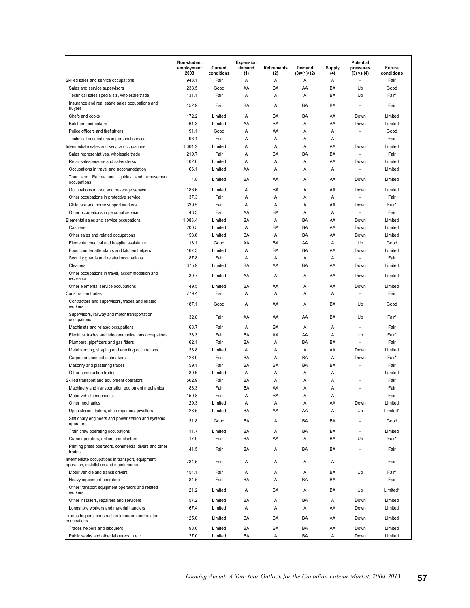|                                                                                             | Non-student<br>employment<br>2003 | Current<br>conditions | <b>Expansion</b><br>demand<br>(1) | <b>Retirements</b><br>(2) | Demand<br>(3)=(1)+(2) | Supply<br>(4) | Potential<br>pressures<br>$(3)$ vs $(4)$ | <b>Future</b><br>conditions |
|---------------------------------------------------------------------------------------------|-----------------------------------|-----------------------|-----------------------------------|---------------------------|-----------------------|---------------|------------------------------------------|-----------------------------|
| Skilled sales and service occupations                                                       | 943.1                             | Fair                  | A                                 | A                         | A                     | A             |                                          | Fair                        |
| Sales and service supervisors                                                               | 238.5                             | Good                  | AA                                | BA                        | AA                    | BA            | Up                                       | Good                        |
| Technical sales specialists, wholesale trade                                                | 131.1                             | Fair                  | $\overline{A}$                    | Α                         | A                     | BA            | Up                                       | Fair*                       |
| Insurance and real estate sales occupations and<br>buyers                                   | 152.9                             | Fair                  | BA                                | A                         | BA                    | BA            |                                          | Fair                        |
| Chefs and cooks                                                                             | 172.2                             | Limited               | A                                 | BA                        | BA                    | AA            | Down                                     | Limited                     |
| Butchers and bakers                                                                         | 61.3                              | Limited               | AA                                | BA                        | Α                     | AA            | Down                                     | Limited                     |
| Police officers and firefighters                                                            | 91.1                              | Good                  | Α                                 | AA                        | Α                     | Α             |                                          | Good                        |
| Technical occupations in personal service                                                   | 96.1                              | Fair                  | Α                                 | Α                         | Α                     | Α             |                                          | Fair                        |
| Intermediate sales and service occupations                                                  | 1,304.2                           | Limited               | A                                 | A                         | Α                     | AA            | Down                                     | Limited                     |
| Sales representatives, wholesale trade                                                      | 219.7                             | Fair                  | A                                 | BA                        | BA                    | BA            |                                          | Fair                        |
| Retail salespersons and sales clerks                                                        | 402.0                             | Limited               | A                                 | Α                         | Α                     | AA            | Down                                     | Limited                     |
| Occupations in travel and accommodation                                                     | 66.1                              | Limited               | AA                                | A                         | A                     | A             |                                          | Limited                     |
| Tour and Recreational guides and amusement<br>occupations                                   | 4.8                               | Limited               | BA                                | AA                        | A                     | AA            | Down                                     | Limited                     |
| Occupations in food and beverage service                                                    | 186.6                             | Limited               | A                                 | BA                        | A                     | AA            | Down                                     | Limited                     |
| Other occupations in protective service                                                     | 37.3                              | Fair                  | Α                                 | Α                         | Α                     | Α             |                                          | Fair                        |
| Childcare and home support workers                                                          | 339.5                             | Fair                  | A                                 | Α                         | Α                     | AA            | Down                                     | Fair*                       |
| Other occupations in personal service                                                       | 48.3                              | Fair                  | AA                                | BA                        | Α                     | Α             |                                          | Fair                        |
| Elemental sales and service occupations                                                     | 1,083.4                           | Limited               | BA                                | Α                         | BA                    | AA            | Down                                     | Limited                     |
| Cashiers                                                                                    | 200.5                             | Limited               | Α                                 | BA                        | BA                    | AA            | Down                                     | Limited                     |
| Other sales and related occupations                                                         | 153.6                             | Limited               | BA                                | A                         | BA                    | AA            | Down                                     | Limited                     |
| Elemental medical and hospital assistants                                                   | 18.1                              | Good                  | AA                                | BA                        | AA                    | A             | Up                                       | Good                        |
| Food counter attendants and kitchen helpers                                                 | 167.3                             | Limited               | Α                                 | BA                        | BA                    | AA            | Down                                     | Limited                     |
| Security guards and related occupations                                                     | 87.8                              | Fair                  | Α                                 | Α                         | Α                     | Α             |                                          | Fair                        |
| Cleaners                                                                                    | 375.9                             | Limited               | BA                                | AA                        | BA                    | AA            | Down                                     | Limited                     |
| Other occupations in travel, accommodation and<br>recreation                                | 30.7                              | Limited               | AA                                | Α                         | Α                     | AA            | Down                                     | Limited                     |
| Other elemental service occupations                                                         | 49.5                              | Limited               | BA                                | AA                        | Α                     | AA            | Down                                     | Limited                     |
| <b>Construction trades</b>                                                                  | 779.4                             | Fair                  | Α                                 | A                         | A                     | A             |                                          | Fair                        |
| Contractors and supervisors, trades and related<br>workers                                  | 187.1                             | Good                  | A                                 | AA                        | A                     | BA            | Up                                       | Good                        |
| Supervisors, railway and motor transportation<br>occupations                                | 32.8                              | Fair                  | AA                                | AA                        | AA                    | BA            | Up                                       | Fair*                       |
| Machinists and related occupations                                                          | 68.7                              | Fair                  | Α                                 | BA                        | Α                     | Α             |                                          | Fair                        |
| Electrical trades and telecommunications occupations                                        | 128.3                             | Fair                  | BA                                | AA                        | AA                    | A             | Up                                       | Fair*                       |
| Plumbers, pipefitters and gas fitters                                                       | 62.1                              | Fair                  | BA                                | Α                         | BA                    | BA            | $\overline{\phantom{0}}$                 | Fair                        |
| Metal forming, shaping and erecting occupations                                             | 33.8                              | Limited               | Α                                 | Α                         | Α                     | AA            | Down                                     | Limited                     |
| Carpenters and cabinetmakers                                                                | 126.9                             | Fair                  | BA                                | Α                         | BA                    | Α             | Down                                     | Fair*                       |
| Masonry and plastering trades                                                               | 59.1                              | Fair                  | BA                                | BA                        | BA                    | BA            |                                          | Fair                        |
| Other construction trades                                                                   | 80.6                              | Limited               | A                                 | Α                         | A                     | Α             |                                          | Limited                     |
| Skilled transport and equipment operators                                                   | 502.9                             | Fair                  | BA                                | A                         | Α                     | Α             |                                          | Fair                        |
| Machinery and transportation equipment mechanics<br>Motor vehicle mechanics                 | 183.3<br>159.8                    | Fair                  | BA<br>A                           | AA<br>BA                  | Α<br>A                | A<br>Α        |                                          | Fair<br>Fair                |
| Other mechanics                                                                             | 29.3                              | Fair<br>Limited       | Α                                 | Α                         | Α                     | AA            | Down                                     | Limited                     |
| Upholsterers, tailors, shoe repairers, jewellers                                            | 28.5                              | Limited               | BA                                | AA                        | AA                    | A             | Up                                       | Limited*                    |
| Stationary engineers and power station and systems<br>operators                             | 31.8                              | Good                  | BA                                | Α                         | BA                    | BA            |                                          | Good                        |
| Train crew operating occupations                                                            | 11.7                              | Limited               | BA                                | Α                         | BA                    | BA            |                                          | Limited                     |
| Crane operators, drillers and blasters                                                      | 17.0                              | Fair                  | BA                                | AA                        | Α                     | BA            | Up                                       | Fair*                       |
| Printing press operators, commercial divers and other<br>trades                             | 41.5                              | Fair                  | BA                                | Α                         | BA                    | BA            |                                          | Fair                        |
| Intermediate occupations in transport, equipment<br>operation, installation and maintenance | 784.5                             | Fair                  | Α                                 | Α                         | Α                     | Α             | $\overline{\phantom{0}}$                 | Fair                        |
| Motor vehicle and transit drivers                                                           | 454.1                             | Fair                  | Α                                 | Α                         | Α                     | BA            | Up                                       | Fair*                       |
| Heavy equipment operators                                                                   | 84.5                              | Fair                  | BA                                | A                         | BA                    | BA            |                                          | Fair                        |
| Other transport equipment operators and related<br>workers                                  | 21.2                              | Limited               | Α                                 | BA                        | Α                     | BA            | Up                                       | Limited*                    |
| Other installers, repairers and servicers                                                   | 57.2                              | Limited               | BA                                | Α                         | BA                    | Α             | Down                                     | Limited                     |
| Longshore workers and material handlers                                                     | 167.4                             | Limited               | Α                                 | Α                         | Α                     | AA            | Down                                     | Limited                     |
| Trades helpers, construction labourers and related<br>occupations                           | 125.0                             | Limited               | BA                                | BA                        | BA                    | AA            | Down                                     | Limited                     |
| Trades helpers and labourers                                                                | 98.0                              | Limited               | BA                                | BA                        | BA                    | AA            | Down                                     | Limited                     |
| Public works and other labourers, n.e.c.                                                    | 27.0                              | Limited               | BA                                | Α                         | BA                    | Α             | Down                                     | Limited                     |